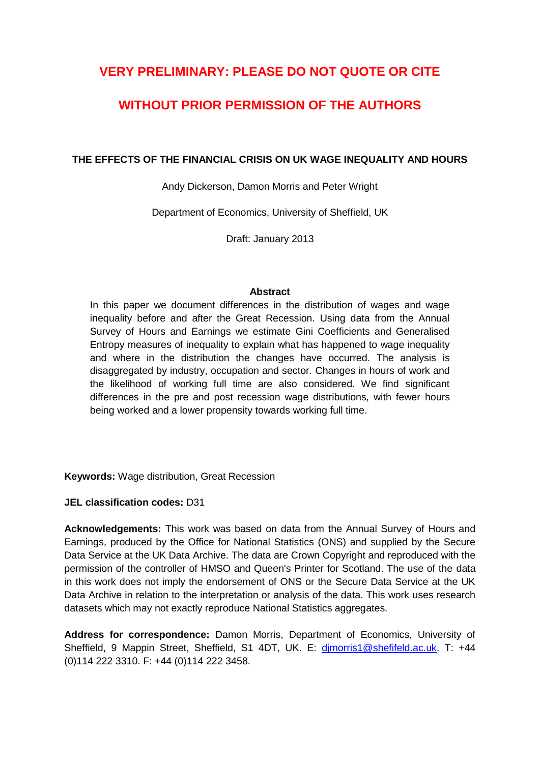# **VERY PRELIMINARY: PLEASE DO NOT QUOTE OR CITE**

# **WITHOUT PRIOR PERMISSION OF THE AUTHORS**

### **THE EFFECTS OF THE FINANCIAL CRISIS ON UK WAGE INEQUALITY AND HOURS**

Andy Dickerson, Damon Morris and Peter Wright

Department of Economics, University of Sheffield, UK

Draft: January 2013

#### **Abstract**

In this paper we document differences in the distribution of wages and wage inequality before and after the Great Recession. Using data from the Annual Survey of Hours and Earnings we estimate Gini Coefficients and Generalised Entropy measures of inequality to explain what has happened to wage inequality and where in the distribution the changes have occurred. The analysis is disaggregated by industry, occupation and sector. Changes in hours of work and the likelihood of working full time are also considered. We find significant differences in the pre and post recession wage distributions, with fewer hours being worked and a lower propensity towards working full time.

**Keywords:** Wage distribution, Great Recession

#### **JEL classification codes:** D31

**Acknowledgements:** This work was based on data from the Annual Survey of Hours and Earnings, produced by the Office for National Statistics (ONS) and supplied by the Secure Data Service at the UK Data Archive. The data are Crown Copyright and reproduced with the permission of the controller of HMSO and Queen's Printer for Scotland. The use of the data in this work does not imply the endorsement of ONS or the Secure Data Service at the UK Data Archive in relation to the interpretation or analysis of the data. This work uses research datasets which may not exactly reproduce National Statistics aggregates.

**Address for correspondence:** Damon Morris, Department of Economics, University of Sheffield, 9 Mappin Street, Sheffield, S1 4DT, UK. E: [djmorris1@shefifeld.ac.uk.](mailto:djmorris1@shefifeld.ac.uk) T: +44 (0)114 222 3310. F: +44 (0)114 222 3458.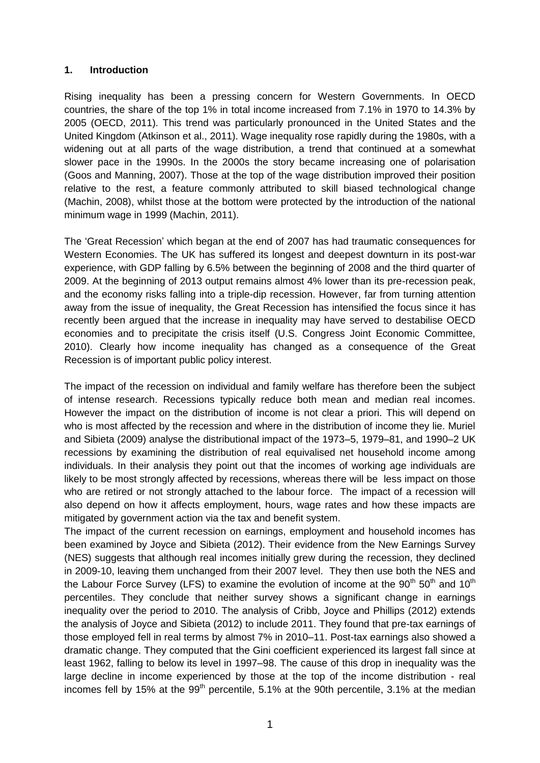#### **1. Introduction**

Rising inequality has been a pressing concern for Western Governments. In OECD countries, the share of the top 1% in total income increased from 7.1% in 1970 to 14.3% by 2005 (OECD, 2011). This trend was particularly pronounced in the United States and the United Kingdom (Atkinson et al., 2011). Wage inequality rose rapidly during the 1980s, with a widening out at all parts of the wage distribution, a trend that continued at a somewhat slower pace in the 1990s. In the 2000s the story became increasing one of polarisation (Goos and Manning, 2007). Those at the top of the wage distribution improved their position relative to the rest, a feature commonly attributed to skill biased technological change (Machin, 2008), whilst those at the bottom were protected by the introduction of the national minimum wage in 1999 (Machin, 2011).

The 'Great Recession' which began at the end of 2007 has had traumatic consequences for Western Economies. The UK has suffered its longest and deepest downturn in its post-war experience, with GDP falling by 6.5% between the beginning of 2008 and the third quarter of 2009. At the beginning of 2013 output remains almost 4% lower than its pre-recession peak, and the economy risks falling into a triple-dip recession. However, far from turning attention away from the issue of inequality, the Great Recession has intensified the focus since it has recently been argued that the increase in inequality may have served to destabilise OECD economies and to precipitate the crisis itself (U.S. Congress Joint Economic Committee, 2010). Clearly how income inequality has changed as a consequence of the Great Recession is of important public policy interest.

The impact of the recession on individual and family welfare has therefore been the subject of intense research. Recessions typically reduce both mean and median real incomes. However the impact on the distribution of income is not clear a priori. This will depend on who is most affected by the recession and where in the distribution of income they lie. Muriel and Sibieta (2009) analyse the distributional impact of the 1973–5, 1979–81, and 1990–2 UK recessions by examining the distribution of real equivalised net household income among individuals. In their analysis they point out that the incomes of working age individuals are likely to be most strongly affected by recessions, whereas there will be less impact on those who are retired or not strongly attached to the labour force. The impact of a recession will also depend on how it affects employment, hours, wage rates and how these impacts are mitigated by government action via the tax and benefit system.

The impact of the current recession on earnings, employment and household incomes has been examined by Joyce and Sibieta (2012). Their evidence from the New Earnings Survey (NES) suggests that although real incomes initially grew during the recession, they declined in 2009-10, leaving them unchanged from their 2007 level. They then use both the NES and the Labour Force Survey (LFS) to examine the evolution of income at the  $90^{th}$  50<sup>th</sup> and 10<sup>th</sup> percentiles. They conclude that neither survey shows a significant change in earnings inequality over the period to 2010. The analysis of Cribb, Joyce and Phillips (2012) extends the analysis of Joyce and Sibieta (2012) to include 2011. They found that pre-tax earnings of those employed fell in real terms by almost 7% in 2010–11. Post-tax earnings also showed a dramatic change. They computed that the Gini coefficient experienced its largest fall since at least 1962, falling to below its level in 1997–98. The cause of this drop in inequality was the large decline in income experienced by those at the top of the income distribution - real incomes fell by 15% at the  $99<sup>th</sup>$  percentile, 5.1% at the 90th percentile, 3.1% at the median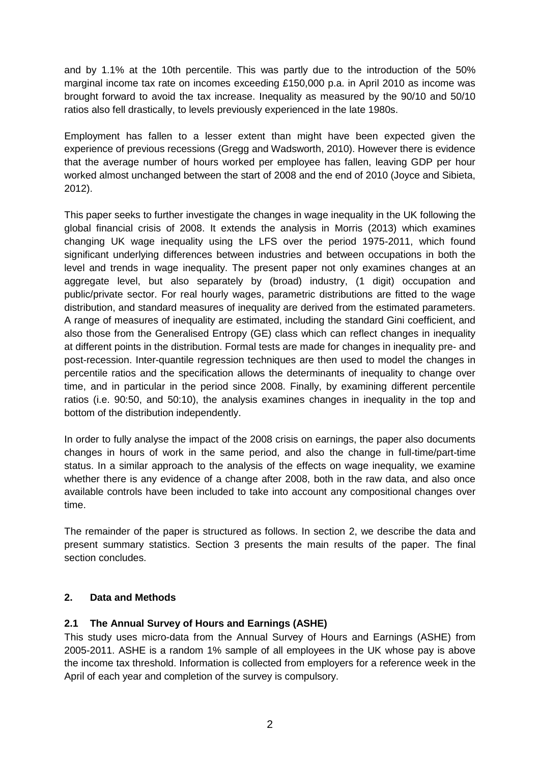and by 1.1% at the 10th percentile. This was partly due to the introduction of the 50% marginal income tax rate on incomes exceeding £150,000 p.a. in April 2010 as income was brought forward to avoid the tax increase. Inequality as measured by the 90/10 and 50/10 ratios also fell drastically, to levels previously experienced in the late 1980s.

Employment has fallen to a lesser extent than might have been expected given the experience of previous recessions (Gregg and Wadsworth, 2010). However there is evidence that the average number of hours worked per employee has fallen, leaving GDP per hour worked almost unchanged between the start of 2008 and the end of 2010 (Joyce and Sibieta, 2012).

This paper seeks to further investigate the changes in wage inequality in the UK following the global financial crisis of 2008. It extends the analysis in Morris (2013) which examines changing UK wage inequality using the LFS over the period 1975-2011, which found significant underlying differences between industries and between occupations in both the level and trends in wage inequality. The present paper not only examines changes at an aggregate level, but also separately by (broad) industry, (1 digit) occupation and public/private sector. For real hourly wages, parametric distributions are fitted to the wage distribution, and standard measures of inequality are derived from the estimated parameters. A range of measures of inequality are estimated, including the standard Gini coefficient, and also those from the Generalised Entropy (GE) class which can reflect changes in inequality at different points in the distribution. Formal tests are made for changes in inequality pre- and post-recession. Inter-quantile regression techniques are then used to model the changes in percentile ratios and the specification allows the determinants of inequality to change over time, and in particular in the period since 2008. Finally, by examining different percentile ratios (i.e. 90:50, and 50:10), the analysis examines changes in inequality in the top and bottom of the distribution independently.

In order to fully analyse the impact of the 2008 crisis on earnings, the paper also documents changes in hours of work in the same period, and also the change in full-time/part-time status. In a similar approach to the analysis of the effects on wage inequality, we examine whether there is any evidence of a change after 2008, both in the raw data, and also once available controls have been included to take into account any compositional changes over time.

The remainder of the paper is structured as follows. In section 2, we describe the data and present summary statistics. Section 3 presents the main results of the paper. The final section concludes.

## **2. Data and Methods**

## **2.1 The Annual Survey of Hours and Earnings (ASHE)**

This study uses micro-data from the Annual Survey of Hours and Earnings (ASHE) from 2005-2011. ASHE is a random 1% sample of all employees in the UK whose pay is above the income tax threshold. Information is collected from employers for a reference week in the April of each year and completion of the survey is compulsory.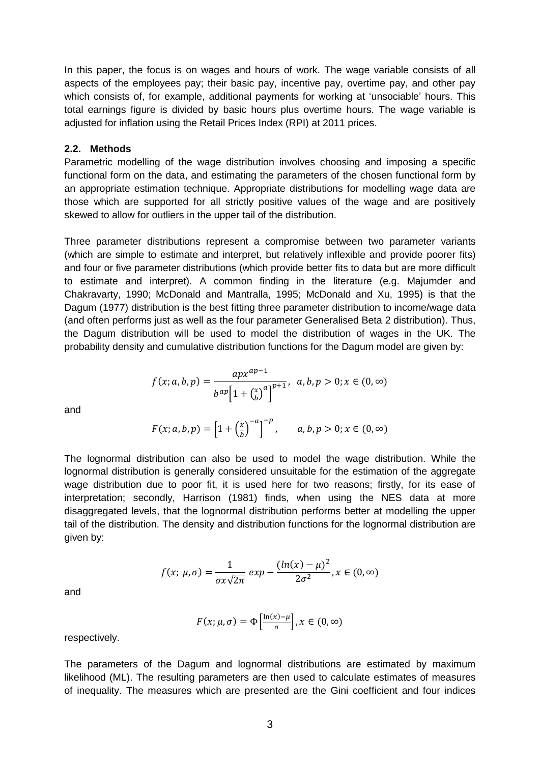In this paper, the focus is on wages and hours of work. The wage variable consists of all aspects of the employees pay; their basic pay, incentive pay, overtime pay, and other pay which consists of, for example, additional payments for working at 'unsociable' hours. This total earnings figure is divided by basic hours plus overtime hours. The wage variable is adiusted for inflation using the Retail Prices Index (RPI) at 2011 prices.

#### **2.2. Methods**

Parametric modelling of the wage distribution involves choosing and imposing a specific functional form on the data, and estimating the parameters of the chosen functional form by an appropriate estimation technique. Appropriate distributions for modelling wage data are those which are supported for all strictly positive values of the wage and are positively skewed to allow for outliers in the upper tail of the distribution.

Three parameter distributions represent a compromise between two parameter variants (which are simple to estimate and interpret, but relatively inflexible and provide poorer fits) and four or five parameter distributions (which provide better fits to data but are more difficult to estimate and interpret). A common finding in the literature (e.g. Majumder and Chakravarty, 1990; McDonald and Mantralla, 1995; McDonald and Xu, 1995) is that the Dagum (1977) distribution is the best fitting three parameter distribution to income/wage data (and often performs just as well as the four parameter Generalised Beta 2 distribution). Thus, the Dagum distribution will be used to model the distribution of wages in the UK. The probability density and cumulative distribution functions for the Dagum model are given by:

$$
f(x; a, b, p) = \frac{ap x^{ap-1}}{b^{ap} \left[1 + \left(\frac{x}{b}\right)^a\right]^{p+1}}, \ a, b, p > 0; x \in (0, \infty)
$$

and

$$
F(x; a, b, p) = \left[1 + \left(\frac{x}{b}\right)^{-a}\right]^{-p}, \qquad a, b, p > 0; x \in (0, \infty)
$$

The lognormal distribution can also be used to model the wage distribution. While the lognormal distribution is generally considered unsuitable for the estimation of the aggregate wage distribution due to poor fit, it is used here for two reasons; firstly, for its ease of interpretation; secondly, Harrison (1981) finds, when using the NES data at more disaggregated levels, that the lognormal distribution performs better at modelling the upper tail of the distribution. The density and distribution functions for the lognormal distribution are given by:

$$
f(x; \mu, \sigma) = \frac{1}{\sigma x \sqrt{2\pi}} \exp{-\frac{(ln(x) - \mu)^2}{2\sigma^2}}, x \in (0, \infty)
$$

$$
F(x; \mu, \sigma) = \Phi\left[\frac{\ln(x) - \mu}{\sigma}\right], x \in (0, \infty)
$$

respectively.

and

The parameters of the Dagum and lognormal distributions are estimated by maximum likelihood (ML). The resulting parameters are then used to calculate estimates of measures of inequality. The measures which are presented are the Gini coefficient and four indices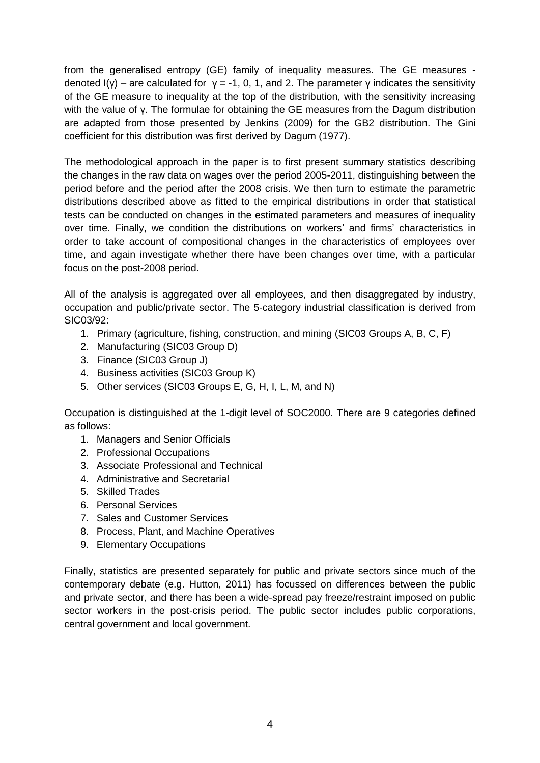from the generalised entropy (GE) family of inequality measures. The GE measures denoted  $I(y)$  – are calculated for  $y = -1$ , 0, 1, and 2. The parameter y indicates the sensitivity of the GE measure to inequality at the top of the distribution, with the sensitivity increasing with the value of γ. The formulae for obtaining the GE measures from the Dagum distribution are adapted from those presented by Jenkins (2009) for the GB2 distribution. The Gini coefficient for this distribution was first derived by Dagum (1977).

The methodological approach in the paper is to first present summary statistics describing the changes in the raw data on wages over the period 2005-2011, distinguishing between the period before and the period after the 2008 crisis. We then turn to estimate the parametric distributions described above as fitted to the empirical distributions in order that statistical tests can be conducted on changes in the estimated parameters and measures of inequality over time. Finally, we condition the distributions on workers' and firms' characteristics in order to take account of compositional changes in the characteristics of employees over time, and again investigate whether there have been changes over time, with a particular focus on the post-2008 period.

All of the analysis is aggregated over all employees, and then disaggregated by industry, occupation and public/private sector. The 5-category industrial classification is derived from SIC03/92:

- 1. Primary (agriculture, fishing, construction, and mining (SIC03 Groups A, B, C, F)
- 2. Manufacturing (SIC03 Group D)
- 3. Finance (SIC03 Group J)
- 4. Business activities (SIC03 Group K)
- 5. Other services (SIC03 Groups E, G, H, I, L, M, and N)

Occupation is distinguished at the 1-digit level of SOC2000. There are 9 categories defined as follows:

- 1. Managers and Senior Officials
- 2. Professional Occupations
- 3. Associate Professional and Technical
- 4. Administrative and Secretarial
- 5. Skilled Trades
- 6. Personal Services
- 7. Sales and Customer Services
- 8. Process, Plant, and Machine Operatives
- 9. Elementary Occupations

Finally, statistics are presented separately for public and private sectors since much of the contemporary debate (e.g. Hutton, 2011) has focussed on differences between the public and private sector, and there has been a wide-spread pay freeze/restraint imposed on public sector workers in the post-crisis period. The public sector includes public corporations, central government and local government.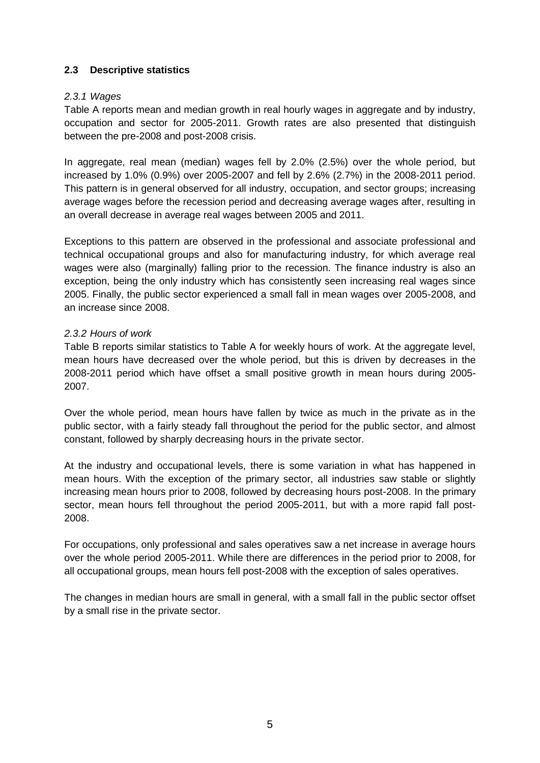### **2.3 Descriptive statistics**

#### *2.3.1 Wages*

Table A reports mean and median growth in real hourly wages in aggregate and by industry, occupation and sector for 2005-2011. Growth rates are also presented that distinguish between the pre-2008 and post-2008 crisis.

In aggregate, real mean (median) wages fell by 2.0% (2.5%) over the whole period, but increased by 1.0% (0.9%) over 2005-2007 and fell by 2.6% (2.7%) in the 2008-2011 period. This pattern is in general observed for all industry, occupation, and sector groups; increasing average wages before the recession period and decreasing average wages after, resulting in an overall decrease in average real wages between 2005 and 2011.

Exceptions to this pattern are observed in the professional and associate professional and technical occupational groups and also for manufacturing industry, for which average real wages were also (marginally) falling prior to the recession. The finance industry is also an exception, being the only industry which has consistently seen increasing real wages since 2005. Finally, the public sector experienced a small fall in mean wages over 2005-2008, and an increase since 2008.

### *2.3.2 Hours of work*

Table B reports similar statistics to Table A for weekly hours of work. At the aggregate level, mean hours have decreased over the whole period, but this is driven by decreases in the 2008-2011 period which have offset a small positive growth in mean hours during 2005- 2007.

Over the whole period, mean hours have fallen by twice as much in the private as in the public sector, with a fairly steady fall throughout the period for the public sector, and almost constant, followed by sharply decreasing hours in the private sector.

At the industry and occupational levels, there is some variation in what has happened in mean hours. With the exception of the primary sector, all industries saw stable or slightly increasing mean hours prior to 2008, followed by decreasing hours post-2008. In the primary sector, mean hours fell throughout the period 2005-2011, but with a more rapid fall post-2008.

For occupations, only professional and sales operatives saw a net increase in average hours over the whole period 2005-2011. While there are differences in the period prior to 2008, for all occupational groups, mean hours fell post-2008 with the exception of sales operatives.

The changes in median hours are small in general, with a small fall in the public sector offset by a small rise in the private sector.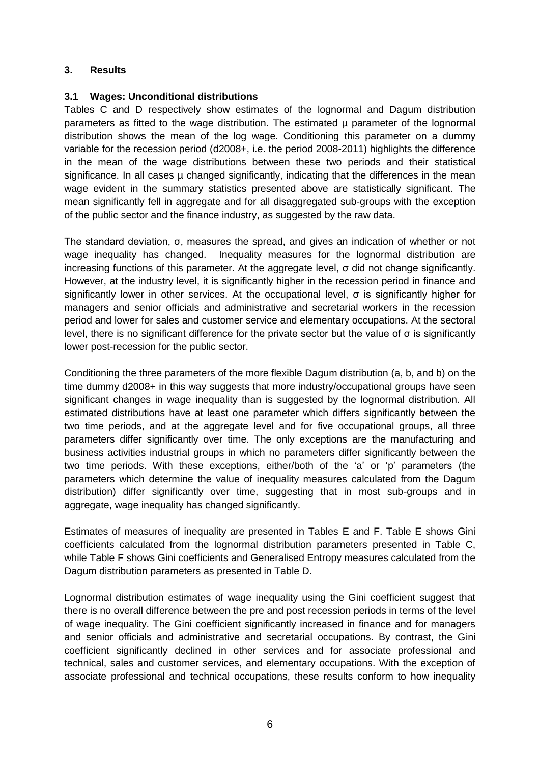## **3. Results**

#### **3.1 Wages: Unconditional distributions**

Tables C and D respectively show estimates of the lognormal and Dagum distribution parameters as fitted to the wage distribution. The estimated µ parameter of the lognormal distribution shows the mean of the log wage. Conditioning this parameter on a dummy variable for the recession period (d2008+, i.e. the period 2008-2011) highlights the difference in the mean of the wage distributions between these two periods and their statistical significance. In all cases  $\mu$  changed significantly, indicating that the differences in the mean wage evident in the summary statistics presented above are statistically significant. The mean significantly fell in aggregate and for all disaggregated sub-groups with the exception of the public sector and the finance industry, as suggested by the raw data.

The standard deviation, σ, measures the spread, and gives an indication of whether or not wage inequality has changed. Inequality measures for the lognormal distribution are increasing functions of this parameter. At the aggregate level, σ did not change significantly. However, at the industry level, it is significantly higher in the recession period in finance and significantly lower in other services. At the occupational level,  $\sigma$  is significantly higher for managers and senior officials and administrative and secretarial workers in the recession period and lower for sales and customer service and elementary occupations. At the sectoral level, there is no significant difference for the private sector but the value of  $\sigma$  is significantly lower post-recession for the public sector.

Conditioning the three parameters of the more flexible Dagum distribution (a, b, and b) on the time dummy d2008+ in this way suggests that more industry/occupational groups have seen significant changes in wage inequality than is suggested by the lognormal distribution. All estimated distributions have at least one parameter which differs significantly between the two time periods, and at the aggregate level and for five occupational groups, all three parameters differ significantly over time. The only exceptions are the manufacturing and business activities industrial groups in which no parameters differ significantly between the two time periods. With these exceptions, either/both of the 'a' or 'p' parameters (the parameters which determine the value of inequality measures calculated from the Dagum distribution) differ significantly over time, suggesting that in most sub-groups and in aggregate, wage inequality has changed significantly.

Estimates of measures of inequality are presented in Tables E and F. Table E shows Gini coefficients calculated from the lognormal distribution parameters presented in Table C, while Table F shows Gini coefficients and Generalised Entropy measures calculated from the Dagum distribution parameters as presented in Table D.

Lognormal distribution estimates of wage inequality using the Gini coefficient suggest that there is no overall difference between the pre and post recession periods in terms of the level of wage inequality. The Gini coefficient significantly increased in finance and for managers and senior officials and administrative and secretarial occupations. By contrast, the Gini coefficient significantly declined in other services and for associate professional and technical, sales and customer services, and elementary occupations. With the exception of associate professional and technical occupations, these results conform to how inequality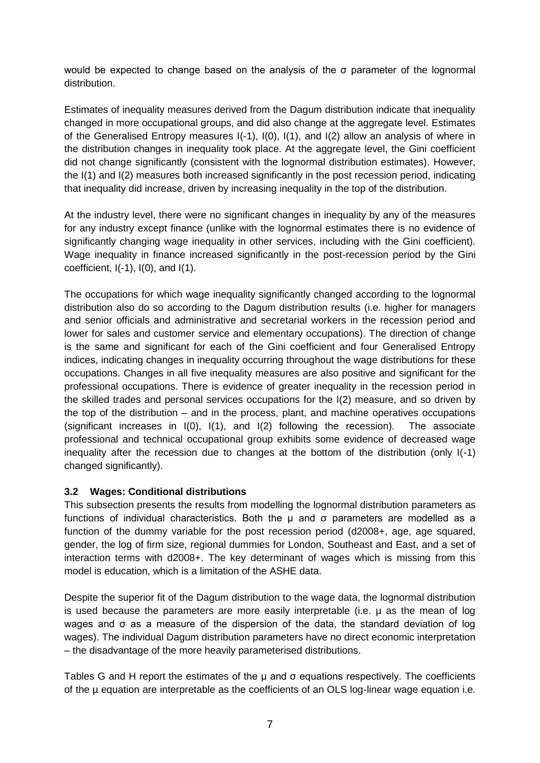would be expected to change based on the analysis of the σ parameter of the lognormal distribution.

Estimates of inequality measures derived from the Dagum distribution indicate that inequality changed in more occupational groups, and did also change at the aggregate level. Estimates of the Generalised Entropy measures I(-1), I(0), I(1), and I(2) allow an analysis of where in the distribution changes in inequality took place. At the aggregate level, the Gini coefficient did not change significantly (consistent with the lognormal distribution estimates). However, the I(1) and I(2) measures both increased significantly in the post recession period, indicating that inequality did increase, driven by increasing inequality in the top of the distribution.

At the industry level, there were no significant changes in inequality by any of the measures for any industry except finance (unlike with the lognormal estimates there is no evidence of significantly changing wage inequality in other services, including with the Gini coefficient). Wage inequality in finance increased significantly in the post-recession period by the Gini coefficient,  $I(-1)$ ,  $I(0)$ , and  $I(1)$ .

The occupations for which wage inequality significantly changed according to the lognormal distribution also do so according to the Dagum distribution results (i.e. higher for managers and senior officials and administrative and secretarial workers in the recession period and lower for sales and customer service and elementary occupations). The direction of change is the same and significant for each of the Gini coefficient and four Generalised Entropy indices, indicating changes in inequality occurring throughout the wage distributions for these occupations. Changes in all five inequality measures are also positive and significant for the professional occupations. There is evidence of greater inequality in the recession period in the skilled trades and personal services occupations for the I(2) measure, and so driven by the top of the distribution – and in the process, plant, and machine operatives occupations (significant increases in I(0), I(1), and I(2) following the recession). The associate professional and technical occupational group exhibits some evidence of decreased wage inequality after the recession due to changes at the bottom of the distribution (only I(-1) changed significantly).

## **3.2 Wages: Conditional distributions**

This subsection presents the results from modelling the lognormal distribution parameters as functions of individual characteristics. Both the µ and σ parameters are modelled as a function of the dummy variable for the post recession period (d2008+, age, age squared, gender, the log of firm size, regional dummies for London, Southeast and East, and a set of interaction terms with d2008+. The key determinant of wages which is missing from this model is education, which is a limitation of the ASHE data.

Despite the superior fit of the Dagum distribution to the wage data, the lognormal distribution is used because the parameters are more easily interpretable (i.e. µ as the mean of log wages and σ as a measure of the dispersion of the data, the standard deviation of log wages). The individual Dagum distribution parameters have no direct economic interpretation – the disadvantage of the more heavily parameterised distributions.

Tables G and H report the estimates of the  $\mu$  and  $\sigma$  equations respectively. The coefficients of the µ equation are interpretable as the coefficients of an OLS log-linear wage equation i.e.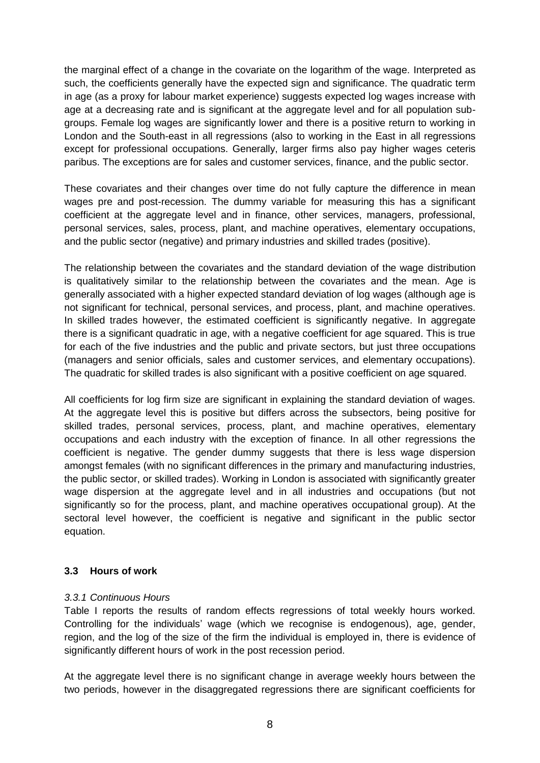the marginal effect of a change in the covariate on the logarithm of the wage. Interpreted as such, the coefficients generally have the expected sign and significance. The quadratic term in age (as a proxy for labour market experience) suggests expected log wages increase with age at a decreasing rate and is significant at the aggregate level and for all population subgroups. Female log wages are significantly lower and there is a positive return to working in London and the South-east in all regressions (also to working in the East in all regressions except for professional occupations. Generally, larger firms also pay higher wages ceteris paribus. The exceptions are for sales and customer services, finance, and the public sector.

These covariates and their changes over time do not fully capture the difference in mean wages pre and post-recession. The dummy variable for measuring this has a significant coefficient at the aggregate level and in finance, other services, managers, professional, personal services, sales, process, plant, and machine operatives, elementary occupations, and the public sector (negative) and primary industries and skilled trades (positive).

The relationship between the covariates and the standard deviation of the wage distribution is qualitatively similar to the relationship between the covariates and the mean. Age is generally associated with a higher expected standard deviation of log wages (although age is not significant for technical, personal services, and process, plant, and machine operatives. In skilled trades however, the estimated coefficient is significantly negative. In aggregate there is a significant quadratic in age, with a negative coefficient for age squared. This is true for each of the five industries and the public and private sectors, but just three occupations (managers and senior officials, sales and customer services, and elementary occupations). The quadratic for skilled trades is also significant with a positive coefficient on age squared.

All coefficients for log firm size are significant in explaining the standard deviation of wages. At the aggregate level this is positive but differs across the subsectors, being positive for skilled trades, personal services, process, plant, and machine operatives, elementary occupations and each industry with the exception of finance. In all other regressions the coefficient is negative. The gender dummy suggests that there is less wage dispersion amongst females (with no significant differences in the primary and manufacturing industries, the public sector, or skilled trades). Working in London is associated with significantly greater wage dispersion at the aggregate level and in all industries and occupations (but not significantly so for the process, plant, and machine operatives occupational group). At the sectoral level however, the coefficient is negative and significant in the public sector equation.

#### **3.3 Hours of work**

#### *3.3.1 Continuous Hours*

Table I reports the results of random effects regressions of total weekly hours worked. Controlling for the individuals' wage (which we recognise is endogenous), age, gender, region, and the log of the size of the firm the individual is employed in, there is evidence of significantly different hours of work in the post recession period.

At the aggregate level there is no significant change in average weekly hours between the two periods, however in the disaggregated regressions there are significant coefficients for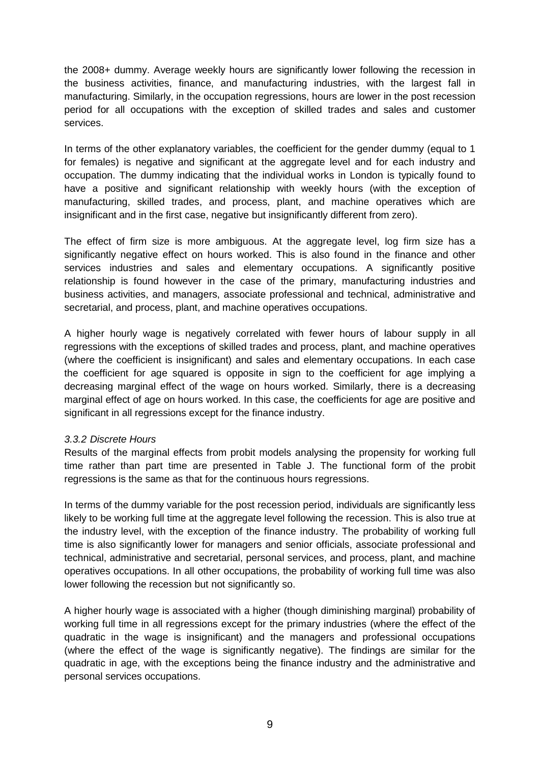the 2008+ dummy. Average weekly hours are significantly lower following the recession in the business activities, finance, and manufacturing industries, with the largest fall in manufacturing. Similarly, in the occupation regressions, hours are lower in the post recession period for all occupations with the exception of skilled trades and sales and customer services.

In terms of the other explanatory variables, the coefficient for the gender dummy (equal to 1) for females) is negative and significant at the aggregate level and for each industry and occupation. The dummy indicating that the individual works in London is typically found to have a positive and significant relationship with weekly hours (with the exception of manufacturing, skilled trades, and process, plant, and machine operatives which are insignificant and in the first case, negative but insignificantly different from zero).

The effect of firm size is more ambiguous. At the aggregate level, log firm size has a significantly negative effect on hours worked. This is also found in the finance and other services industries and sales and elementary occupations. A significantly positive relationship is found however in the case of the primary, manufacturing industries and business activities, and managers, associate professional and technical, administrative and secretarial, and process, plant, and machine operatives occupations.

A higher hourly wage is negatively correlated with fewer hours of labour supply in all regressions with the exceptions of skilled trades and process, plant, and machine operatives (where the coefficient is insignificant) and sales and elementary occupations. In each case the coefficient for age squared is opposite in sign to the coefficient for age implying a decreasing marginal effect of the wage on hours worked. Similarly, there is a decreasing marginal effect of age on hours worked. In this case, the coefficients for age are positive and significant in all regressions except for the finance industry.

#### *3.3.2 Discrete Hours*

Results of the marginal effects from probit models analysing the propensity for working full time rather than part time are presented in Table J. The functional form of the probit regressions is the same as that for the continuous hours regressions.

In terms of the dummy variable for the post recession period, individuals are significantly less likely to be working full time at the aggregate level following the recession. This is also true at the industry level, with the exception of the finance industry. The probability of working full time is also significantly lower for managers and senior officials, associate professional and technical, administrative and secretarial, personal services, and process, plant, and machine operatives occupations. In all other occupations, the probability of working full time was also lower following the recession but not significantly so.

A higher hourly wage is associated with a higher (though diminishing marginal) probability of working full time in all regressions except for the primary industries (where the effect of the quadratic in the wage is insignificant) and the managers and professional occupations (where the effect of the wage is significantly negative). The findings are similar for the quadratic in age, with the exceptions being the finance industry and the administrative and personal services occupations.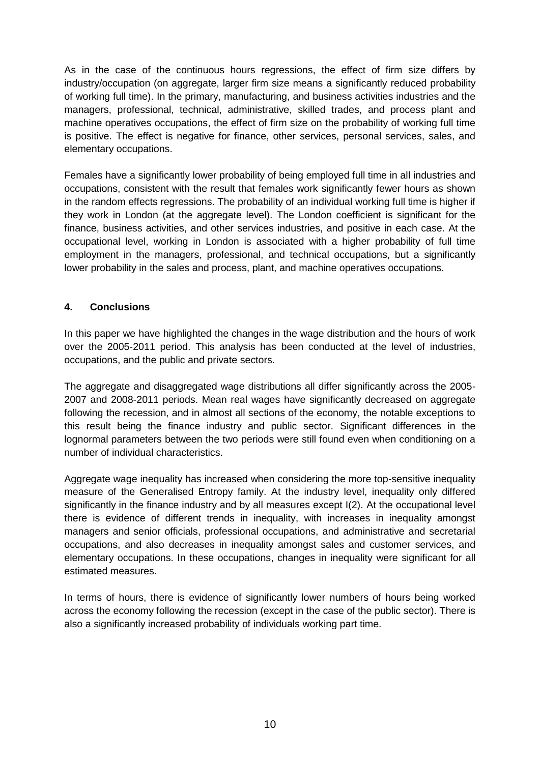As in the case of the continuous hours regressions, the effect of firm size differs by industry/occupation (on aggregate, larger firm size means a significantly reduced probability of working full time). In the primary, manufacturing, and business activities industries and the managers, professional, technical, administrative, skilled trades, and process plant and machine operatives occupations, the effect of firm size on the probability of working full time is positive. The effect is negative for finance, other services, personal services, sales, and elementary occupations.

Females have a significantly lower probability of being employed full time in all industries and occupations, consistent with the result that females work significantly fewer hours as shown in the random effects regressions. The probability of an individual working full time is higher if they work in London (at the aggregate level). The London coefficient is significant for the finance, business activities, and other services industries, and positive in each case. At the occupational level, working in London is associated with a higher probability of full time employment in the managers, professional, and technical occupations, but a significantly lower probability in the sales and process, plant, and machine operatives occupations.

## **4. Conclusions**

In this paper we have highlighted the changes in the wage distribution and the hours of work over the 2005-2011 period. This analysis has been conducted at the level of industries, occupations, and the public and private sectors.

The aggregate and disaggregated wage distributions all differ significantly across the 2005- 2007 and 2008-2011 periods. Mean real wages have significantly decreased on aggregate following the recession, and in almost all sections of the economy, the notable exceptions to this result being the finance industry and public sector. Significant differences in the lognormal parameters between the two periods were still found even when conditioning on a number of individual characteristics.

Aggregate wage inequality has increased when considering the more top-sensitive inequality measure of the Generalised Entropy family. At the industry level, inequality only differed significantly in the finance industry and by all measures except I(2). At the occupational level there is evidence of different trends in inequality, with increases in inequality amongst managers and senior officials, professional occupations, and administrative and secretarial occupations, and also decreases in inequality amongst sales and customer services, and elementary occupations. In these occupations, changes in inequality were significant for all estimated measures.

In terms of hours, there is evidence of significantly lower numbers of hours being worked across the economy following the recession (except in the case of the public sector). There is also a significantly increased probability of individuals working part time.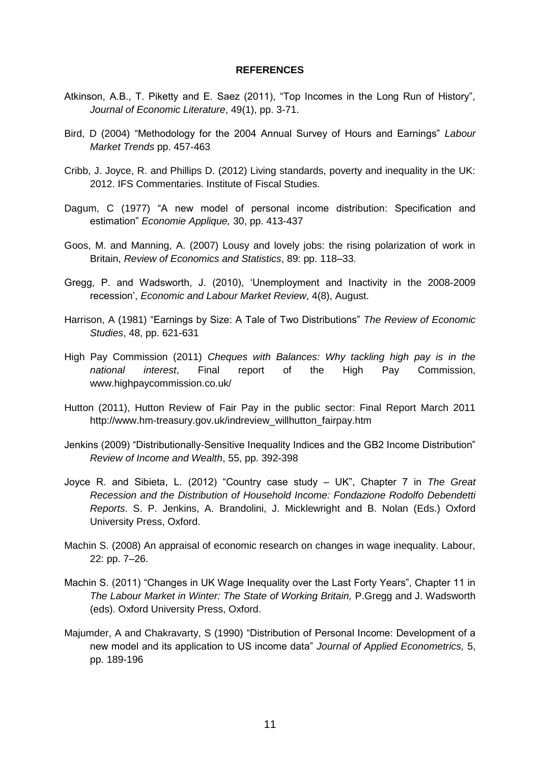#### **REFERENCES**

- Atkinson, A.B., T. Piketty and E. Saez (2011), "Top Incomes in the Long Run of History", *Journal of Economic Literature*, 49(1), pp. 3-71.
- Bird, D (2004) "Methodology for the 2004 Annual Survey of Hours and Earnings" *Labour Market Trends* pp. 457-463
- Cribb, J. Joyce, R. and Phillips D. (2012) Living standards, poverty and inequality in the UK: 2012. IFS Commentaries. Institute of Fiscal Studies.
- Dagum, C (1977) "A new model of personal income distribution: Specification and estimation" *Economie Applique,* 30, pp. 413-437
- Goos, M. and Manning, A. (2007) Lousy and lovely jobs: the rising polarization of work in Britain, *Review of Economics and Statistics*, 89: pp. 118–33.
- Gregg, P. and Wadsworth, J. (2010), 'Unemployment and Inactivity in the 2008-2009 recession', *Economic and Labour Market Review*, 4(8), August.
- Harrison, A (1981) "Earnings by Size: A Tale of Two Distributions" *The Review of Economic Studies*, 48, pp. 621-631
- High Pay Commission (2011) *Cheques with Balances: Why tackling high pay is in the national interest*, Final report of the High Pay Commission, www.highpaycommission.co.uk/
- Hutton (2011), Hutton Review of Fair Pay in the public sector: Final Report March 2011 http://www.hm-treasury.gov.uk/indreview\_willhutton\_fairpay.htm
- Jenkins (2009) "Distributionally-Sensitive Inequality Indices and the GB2 Income Distribution" *Review of Income and Wealth*, 55, pp. 392-398
- Joyce R. and Sibieta, L. (2012) "Country case study UK", Chapter 7 in *The Great Recession and the Distribution of Household Income: Fondazione Rodolfo Debendetti Reports*. S. P. Jenkins, A. Brandolini, J. Micklewright and B. Nolan (Eds.) Oxford University Press, Oxford.
- Machin S. (2008) An appraisal of economic research on changes in wage inequality. Labour, 22: pp. 7–26.
- Machin S. (2011) "Changes in UK Wage Inequality over the Last Forty Years", Chapter 11 in **The Labour Market in Winter: The State of Working Britain, P.Gregg and J. Wadsworth** (eds). Oxford University Press, Oxford.
- Majumder, A and Chakravarty, S (1990) "Distribution of Personal Income: Development of a new model and its application to US income data" *Journal of Applied Econometrics,* 5, pp. 189-196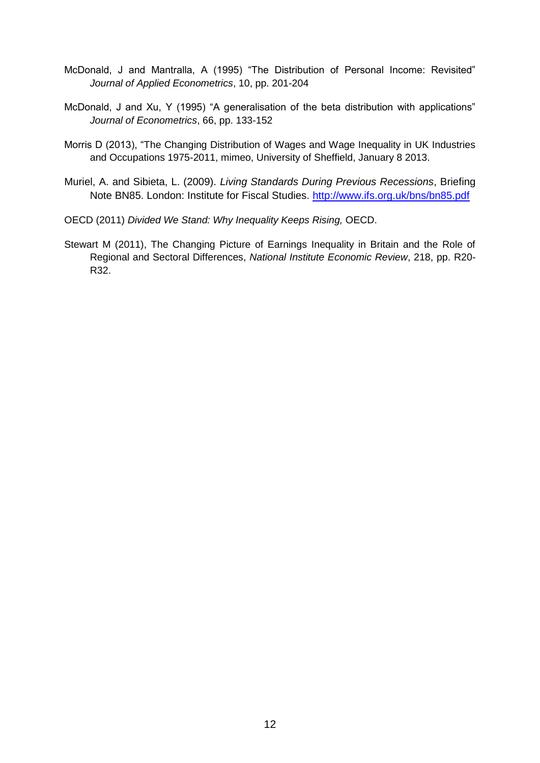- McDonald, J and Mantralla, A (1995) "The Distribution of Personal Income: Revisited" *Journal of Applied Econometrics*, 10, pp. 201-204
- McDonald, J and Xu, Y (1995) "A generalisation of the beta distribution with applications" *Journal of Econometrics*, 66, pp. 133-152
- Morris D (2013), "The Changing Distribution of Wages and Wage Inequality in UK Industries and Occupations 1975-2011, mimeo, University of Sheffield, January 8 2013.
- Muriel, A. and Sibieta, L. (2009). *Living Standards During Previous Recessions*, Briefing Note BN85. London: Institute for Fiscal Studies.<http://www.ifs.org.uk/bns/bn85.pdf>
- OECD (2011) *Divided We Stand: Why Inequality Keeps Rising,* OECD.
- Stewart M (2011), The Changing Picture of Earnings Inequality in Britain and the Role of Regional and Sectoral Differences, *National Institute Economic Review*, 218, pp. R20- R32.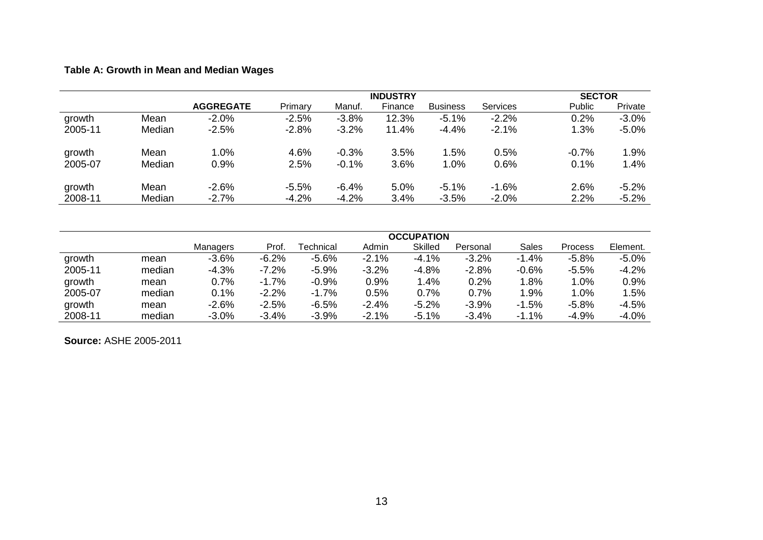# **Table A: Growth in Mean and Median Wages**

|         |        |                  |         | <b>SECTOR</b> |         |                 |                 |               |          |
|---------|--------|------------------|---------|---------------|---------|-----------------|-----------------|---------------|----------|
|         |        | <b>AGGREGATE</b> | Primary | Manuf.        | Finance | <b>Business</b> | <b>Services</b> | <b>Public</b> | Private  |
| growth  | Mean   | $-2.0\%$         | $-2.5%$ | $-3.8%$       | 12.3%   | $-5.1%$         | $-2.2%$         | 0.2%          | $-3.0%$  |
| 2005-11 | Median | $-2.5%$          | $-2.8%$ | $-3.2%$       | 11.4%   | $-4.4%$         | $-2.1%$         | 1.3%          | $-5.0%$  |
| growth  | Mean   | 1.0%             | 4.6%    | $-0.3%$       | 3.5%    | 1.5%            | 0.5%            | $-0.7%$       | 1.9%     |
| 2005-07 | Median | 0.9%             | 2.5%    | $-0.1%$       | 3.6%    | 1.0%            | 0.6%            | 0.1%          | 1.4%     |
| growth  | Mean   | $-2.6%$          | $-5.5%$ | $-6.4%$       | 5.0%    | $-5.1%$         | $-1.6%$         | 2.6%          | $-5.2\%$ |
| 2008-11 | Median | $-2.7%$          | $-4.2%$ | $-4.2%$       | 3.4%    | $-3.5%$         | $-2.0%$         | 2.2%          | $-5.2%$  |

|         |        | <b>OCCUPATION</b> |         |                  |         |                |          |         |         |          |  |  |
|---------|--------|-------------------|---------|------------------|---------|----------------|----------|---------|---------|----------|--|--|
|         |        | <b>Managers</b>   | Prof.   | <b>Technical</b> | Admin   | <b>Skilled</b> | Personal | Sales   | Process | Element. |  |  |
| growth  | mean   | $-3.6%$           | $-6.2%$ | $-5.6%$          | $-2.1%$ | $-4.1%$        | $-3.2%$  | $-1.4%$ | $-5.8%$ | $-5.0\%$ |  |  |
| 2005-11 | median | $-4.3%$           | $-7.2%$ | $-5.9%$          | $-3.2%$ | $-4.8%$        | $-2.8%$  | $-0.6%$ | $-5.5%$ | $-4.2%$  |  |  |
| growth  | mean   | 0.7%              | $-1.7%$ | $-0.9%$          | 0.9%    | 1.4%           | 0.2%     | 1.8%    | 1.0%    | 0.9%     |  |  |
| 2005-07 | median | 0.1%              | $-2.2%$ | $-1.7%$          | 0.5%    | 0.7%           | 0.7%     | 1.9%    | 1.0%    | 1.5%     |  |  |
| growth  | mean   | $-2.6%$           | $-2.5%$ | $-6.5%$          | $-2.4%$ | $-5.2%$        | $-3.9%$  | $-1.5%$ | $-5.8%$ | $-4.5%$  |  |  |
| 2008-11 | median | $-3.0%$           | $-3.4%$ | $-3.9%$          | $-2.1%$ | $-5.1%$        | $-3.4%$  | $-1.1%$ | $-4.9%$ | $-4.0%$  |  |  |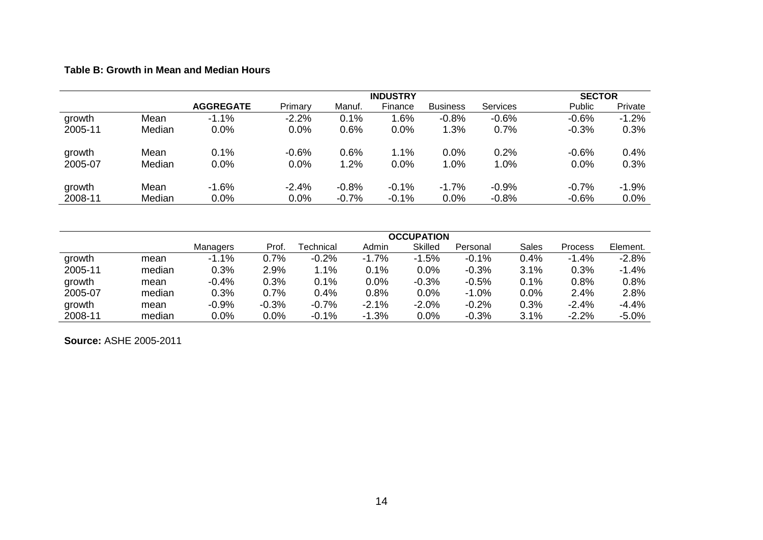## **Table B: Growth in Mean and Median Hours**

|         |        |                  |         | <b>SECTOR</b> |         |                 |                 |         |         |
|---------|--------|------------------|---------|---------------|---------|-----------------|-----------------|---------|---------|
|         |        | <b>AGGREGATE</b> | Primary | Manuf.        | Finance | <b>Business</b> | <b>Services</b> | Public  | Private |
| growth  | Mean   | $-1.1\%$         | $-2.2%$ | 0.1%          | 1.6%    | $-0.8%$         | $-0.6%$         | $-0.6%$ | $-1.2%$ |
| 2005-11 | Median | 0.0%             | 0.0%    | 0.6%          | 0.0%    | 1.3%            | 0.7%            | $-0.3%$ | 0.3%    |
| growth  | Mean   | 0.1%             | $-0.6%$ | 0.6%          | 1.1%    | 0.0%            | 0.2%            | $-0.6%$ | 0.4%    |
| 2005-07 | Median | 0.0%             | 0.0%    | 1.2%          | 0.0%    | 1.0%            | 1.0%            | 0.0%    | 0.3%    |
| growth  | Mean   | $-1.6%$          | $-2.4%$ | $-0.8%$       | $-0.1%$ | $-1.7%$         | $-0.9%$         | $-0.7%$ | $-1.9%$ |
| 2008-11 | Median | 0.0%             | 0.0%    | $-0.7%$       | $-0.1%$ | 0.0%            | $-0.8%$         | $-0.6%$ | 0.0%    |

|         |        | <b>OCCUPATION</b> |         |                  |         |                |          |       |         |          |  |
|---------|--------|-------------------|---------|------------------|---------|----------------|----------|-------|---------|----------|--|
|         |        | <b>Managers</b>   | Prof.   | <b>Technical</b> | Admin   | <b>Skilled</b> | Personal | Sales | Process | Element. |  |
| growth  | mean   | $-1.1%$           | 0.7%    | $-0.2%$          | $-1.7%$ | $-1.5%$        | $-0.1%$  | 0.4%  | $-1.4%$ | $-2.8%$  |  |
| 2005-11 | median | 0.3%              | 2.9%    | 1.1%             | 0.1%    | $0.0\%$        | $-0.3%$  | 3.1%  | 0.3%    | $-1.4%$  |  |
| growth  | mean   | $-0.4%$           | 0.3%    | 0.1%             | 0.0%    | $-0.3%$        | $-0.5%$  | 0.1%  | 0.8%    | 0.8%     |  |
| 2005-07 | median | 0.3%              | 0.7%    | 0.4%             | 0.8%    | 0.0%           | $-1.0%$  | 0.0%  | 2.4%    | 2.8%     |  |
| growth  | mean   | $-0.9%$           | $-0.3%$ | $-0.7%$          | $-2.1%$ | $-2.0\%$       | $-0.2%$  | 0.3%  | $-2.4%$ | $-4.4%$  |  |
| 2008-11 | median | 0.0%              | 0.0%    | $-0.1%$          | $-1.3%$ | 0.0%           | $-0.3%$  | 3.1%  | $-2.2%$ | $-5.0%$  |  |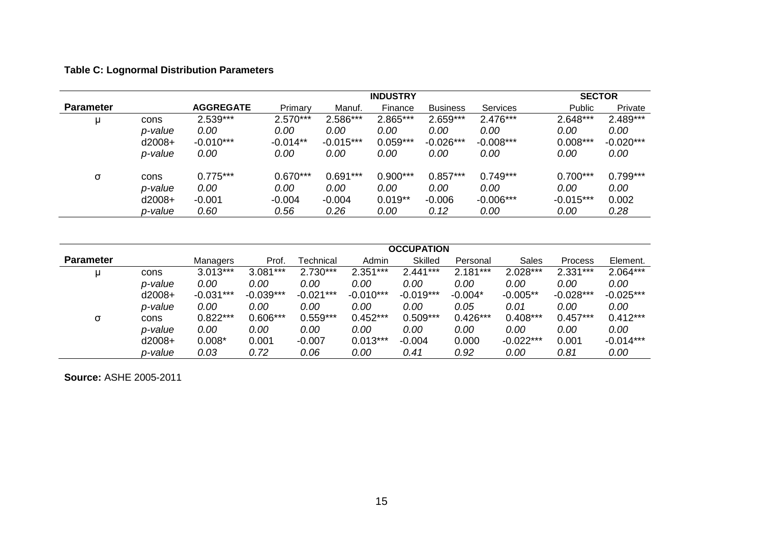# **Table C: Lognormal Distribution Parameters**

|                  |          |                  |            |             | <b>INDUSTRY</b> |                 |             |             | <b>SECTOR</b> |
|------------------|----------|------------------|------------|-------------|-----------------|-----------------|-------------|-------------|---------------|
| <b>Parameter</b> |          | <b>AGGREGATE</b> | Primary    | Manuf.      | Finance         | <b>Business</b> | Services    | Public      | Private       |
|                  | cons     | 2.539***         | $2.570***$ | 2.586***    | 2.865***        | $2.659***$      | 2.476***    | $2.648***$  | 2.489***      |
|                  | p-value  | 0.00             | 0.00       | 0.00        | 0.00            | 0.00            | 0.00        | 0.00        | 0.00          |
|                  | $d2008+$ | $-0.010***$      | $-0.014**$ | $-0.015***$ | $0.059***$      | $-0.026***$     | $-0.008***$ | $0.008***$  | $-0.020***$   |
|                  | p-value  | 0.00             | 0.00       | 0.00        | 0.00            | 0.00            | 0.00        | 0.00        | 0.00          |
| σ                | cons     | $0.775***$       | $0.670***$ | $0.691***$  | $0.900***$      | $0.857***$      | $0.749***$  | $0.700***$  | $0.799***$    |
|                  | p-value  | 0.00             | 0.00       | 0.00        | 0.00            | 0.00            | 0.00        | 0.00        | 0.00          |
|                  | $d2008+$ | $-0.001$         | $-0.004$   | $-0.004$    | $0.019**$       | $-0.006$        | $-0.006***$ | $-0.015***$ | 0.002         |
|                  | p-value  | 0.60             | 0.56       | 0.26        | 0.00            | 0.12            | 0.00        | 0.00        | 0.28          |

|                  |          |             |             |             |             | <b>OCCUPATION</b> |            |             |                |             |
|------------------|----------|-------------|-------------|-------------|-------------|-------------------|------------|-------------|----------------|-------------|
| <b>Parameter</b> |          | Managers    | Prof.       | Technical   | Admin       | <b>Skilled</b>    | Personal   | Sales       | <b>Process</b> | Element.    |
| u                | cons     | $3.013***$  | $3.081***$  | $2.730***$  | $2.351***$  | $2.441***$        | $2.181***$ | $2.028***$  | $2.331***$     | $2.064***$  |
|                  | p-value  | 0.00        | 0.00        | 0.00        | 0.00        | 0.00              | 0.00       | 0.00        | 0.00           | 0.00        |
|                  | $d2008+$ | $-0.031***$ | $-0.039***$ | $-0.021***$ | $-0.010***$ | $-0.019***$       | $-0.004*$  | $-0.005**$  | $-0.028***$    | $-0.025***$ |
|                  | p-value  | 0.00        | 0.00        | 0.00        | 0.00        | 0.00              | 0.05       | 0.01        | 0.00           | 0.00        |
| σ                | cons     | $0.822***$  | $0.606***$  | $0.559***$  | $0.452***$  | $0.509***$        | $0.426***$ | $0.408***$  | $0.457***$     | $0.412***$  |
|                  | p-value  | 0.00        | 0.00        | 0.00        | 0.00        | 0.00              | 0.00       | 0.00        | 0.00           | 0.00        |
|                  | $d2008+$ | $0.008*$    | 0.001       | $-0.007$    | $0.013***$  | $-0.004$          | 0.000      | $-0.022***$ | 0.001          | $-0.014***$ |
|                  | p-value  | 0.03        | 0.72        | 0.06        | 0.00        | 0.41              | 0.92       | 0.00        | 0.81           | 0.00        |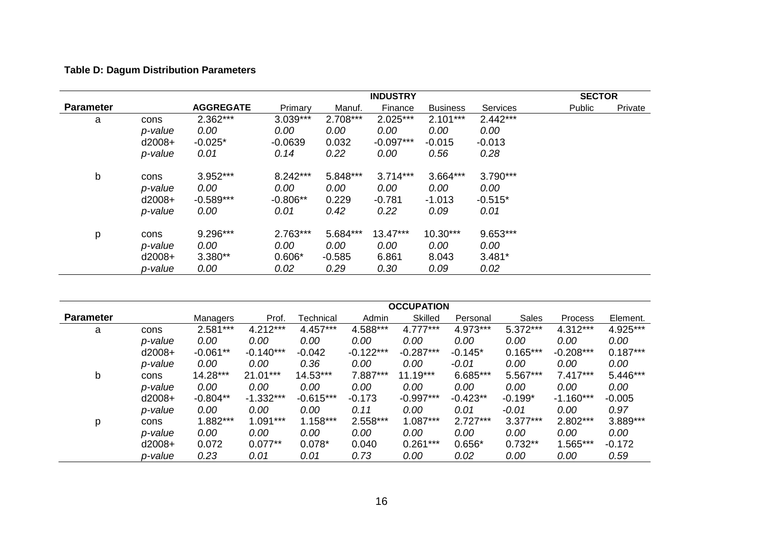# **Table D: Dagum Distribution Parameters**

|                  |          |                  |            |            | <b>INDUSTRY</b> |                 |            | <b>SECTOR</b> |         |
|------------------|----------|------------------|------------|------------|-----------------|-----------------|------------|---------------|---------|
| <b>Parameter</b> |          | <b>AGGREGATE</b> | Primary    | Manuf.     | Finance         | <b>Business</b> | Services   | Public        | Private |
| a                | cons     | $2.362***$       | $3.039***$ | $2.708***$ | 2.025***        | $2.101***$      | $2.442***$ |               |         |
|                  | p-value  | 0.00             | 0.00       | 0.00       | 0.00            | 0.00            | 0.00       |               |         |
|                  | $d2008+$ | $-0.025*$        | $-0.0639$  | 0.032      | $-0.097***$     | $-0.015$        | $-0.013$   |               |         |
|                  | p-value  | 0.01             | 0.14       | 0.22       | 0.00            | 0.56            | 0.28       |               |         |
| b                | cons     | 3.952***         | 8.242***   | 5.848***   | $3.714***$      | 3.664***        | 3.790***   |               |         |
|                  | p-value  | 0.00             | 0.00       | 0.00       | 0.00            | 0.00            | 0.00       |               |         |
|                  | $d2008+$ | $-0.589***$      | $-0.806**$ | 0.229      | $-0.781$        | $-1.013$        | $-0.515*$  |               |         |
|                  | p-value  | 0.00             | 0.01       | 0.42       | 0.22            | 0.09            | 0.01       |               |         |
| p                | cons     | 9.296***         | $2.763***$ | 5.684***   | $13.47***$      | $10.30***$      | 9.653***   |               |         |
|                  | p-value  | 0.00             | 0.00       | 0.00       | 0.00            | 0.00            | 0.00       |               |         |
|                  | $d2008+$ | 3.380**          | $0.606*$   | $-0.585$   | 6.861           | 8.043           | $3.481*$   |               |         |
|                  | p-value  | 0.00             | 0.02       | 0.29       | 0.30            | 0.09            | 0.02       |               |         |

|                  |          |            |             |             |             | <b>OCCUPATION</b> |            |            |             |            |
|------------------|----------|------------|-------------|-------------|-------------|-------------------|------------|------------|-------------|------------|
| <b>Parameter</b> |          | Managers   | Prof.       | Technical   | Admin       | <b>Skilled</b>    | Personal   | Sales      | Process     | Element.   |
| a                | cons     | 2.581***   | $4.212***$  | $4.457***$  | 4.588***    | $4.777***$        | 4.973***   | $5.372***$ | $4.312***$  | 4.925***   |
|                  | p-value  | 0.00       | 0.00        | 0.00        | 0.00        | 0.00              | 0.00       | 0.00       | 0.00        | 0.00       |
|                  | $d2008+$ | $-0.061**$ | $-0.140***$ | $-0.042$    | $-0.122***$ | $-0.287***$       | $-0.145*$  | $0.165***$ | $-0.208***$ | $0.187***$ |
|                  | p-value  | 0.00       | 0.00        | 0.36        | 0.00        | 0.00              | $-0.01$    | 0.00       | 0.00        | 0.00       |
| b                | cons     | 14.28***   | $21.01***$  | 14.53***    | 7.887***    | $11.19***$        | 6.685***   | 5.567***   | $7.417***$  | 5.446***   |
|                  | p-value  | 0.00       | 0.00        | 0.00        | 0.00        | 0.00              | 0.00       | 0.00       | 0.00        | 0.00       |
|                  | $d2008+$ | $-0.804**$ | $-1.332***$ | $-0.615***$ | $-0.173$    | $-0.997***$       | $-0.423**$ | $-0.199*$  | $-1.160***$ | $-0.005$   |
|                  | p-value  | 0.00       | 0.00        | 0.00        | 0.11        | 0.00              | 0.01       | $-0.01$    | 0.00        | 0.97       |
| p                | cons     | 1.882***   | $1.091***$  | $1.158***$  | 2.558***    | $1.087***$        | $2.727***$ | $3.377***$ | 2.802***    | 3.889***   |
|                  | p-value  | 0.00       | 0.00        | 0.00        | 0.00        | 0.00              | 0.00       | 0.00       | 0.00        | 0.00       |
|                  | $d2008+$ | 0.072      | $0.077**$   | $0.078*$    | 0.040       | $0.261***$        | $0.656*$   | $0.732**$  | 1.565***    | $-0.172$   |
|                  | p-value  | 0.23       | 0.01        | 0.01        | 0.73        | 0.00              | 0.02       | 0.00       | 0.00        | 0.59       |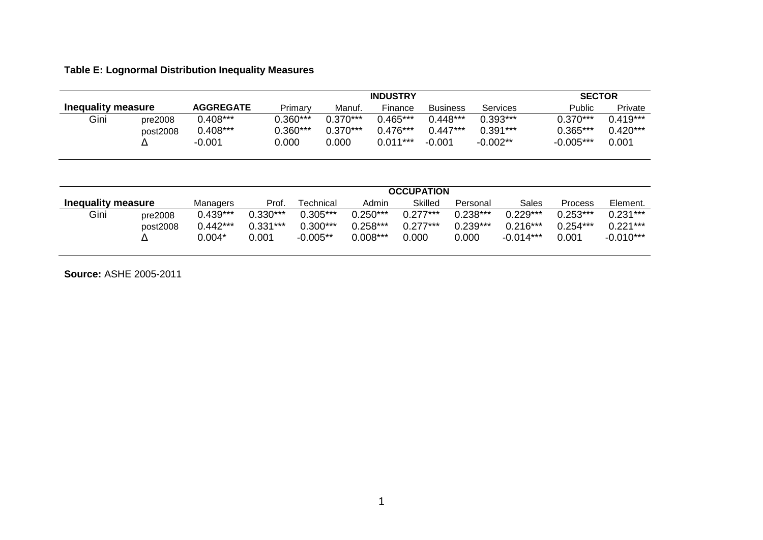# **Table E: Lognormal Distribution Inequality Measures**

|                    |          |                  | <b>INDUSTRY</b> |            |            |                 |            |             |            |
|--------------------|----------|------------------|-----------------|------------|------------|-----------------|------------|-------------|------------|
| Inequality measure |          | <b>AGGREGATE</b> | Primary         | Manuf.     | Finance    | <b>Business</b> | Services   | Public      | Private    |
| Gini               | pre2008  | $0.408***$       | $0.360***$      | $0.370***$ | $0.465***$ | $0.448***$      | $0.393***$ | $0.370***$  | $0.419***$ |
|                    | post2008 | $0.408***$       | 0.360***        | $0.370***$ | $0.476***$ | $0.447***$      | $0.391***$ | 0.365***    | $0.420***$ |
|                    |          | $-0.001$         | 0.000           | 0.000      | $0.011***$ | -0.001          | -0.002**   | $-0.005***$ | 0.001      |

|                    |                     |                                    | <b>OCCUPATION</b>                 |                                         |                                        |                                   |                                   |                                         |                                   |                                         |  |  |  |
|--------------------|---------------------|------------------------------------|-----------------------------------|-----------------------------------------|----------------------------------------|-----------------------------------|-----------------------------------|-----------------------------------------|-----------------------------------|-----------------------------------------|--|--|--|
| Inequality measure |                     | Managers                           | Prof.                             | Technical                               | Admin                                  | Skilled                           | Personal                          | Sales                                   | Process                           | Element.                                |  |  |  |
| Gini               | pre2008<br>post2008 | $0.439***$<br>$0.442***$<br>0.004* | $0.330***$<br>$0.331***$<br>0.001 | $0.305***$<br>$0.300***$<br>$-0.005***$ | $0.250***$<br>$0.258***$<br>$0.008***$ | $0.277***$<br>$0.277***$<br>0.000 | $0.238***$<br>$0.239***$<br>0.000 | $0.229***$<br>$0.216***$<br>$-0.014***$ | $0.253***$<br>$0.254***$<br>0.001 | $0.231***$<br>$0.221***$<br>$-0.010***$ |  |  |  |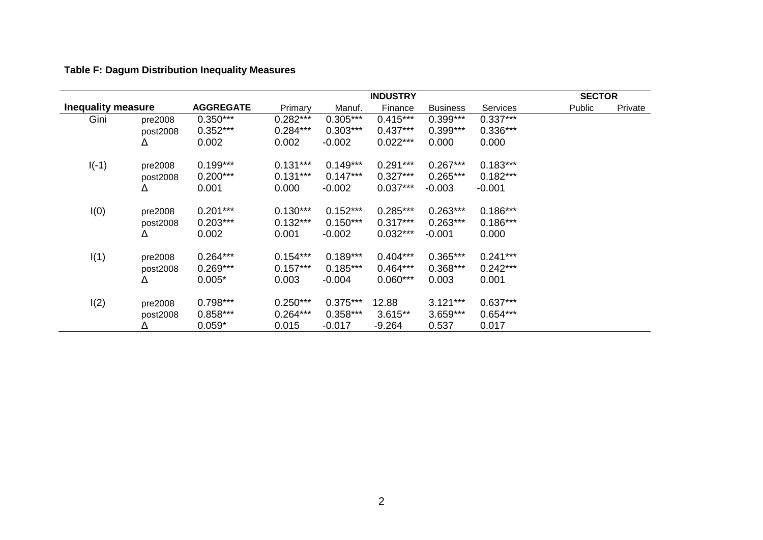# **Table F: Dagum Distribution Inequality Measures**

|                           |          |                  |            |            | <b>INDUSTRY</b> |                 |            | <b>SECTOR</b> |                |
|---------------------------|----------|------------------|------------|------------|-----------------|-----------------|------------|---------------|----------------|
| <b>Inequality measure</b> |          | <b>AGGREGATE</b> | Primary    | Manuf.     | Finance         | <b>Business</b> | Services   | Public        | <b>Private</b> |
| Gini                      | pre2008  | $0.350***$       | $0.282***$ | $0.305***$ | $0.415***$      | $0.399***$      | $0.337***$ |               |                |
|                           | post2008 | $0.352***$       | $0.284***$ | $0.303***$ | $0.437***$      | $0.399***$      | $0.336***$ |               |                |
|                           | Δ        | 0.002            | 0.002      | $-0.002$   | $0.022***$      | 0.000           | 0.000      |               |                |
| $I(-1)$                   | pre2008  | $0.199***$       | $0.131***$ | $0.149***$ | $0.291***$      | $0.267***$      | $0.183***$ |               |                |
|                           | post2008 | $0.200***$       | $0.131***$ | $0.147***$ | $0.327***$      | $0.265***$      | $0.182***$ |               |                |
|                           | Δ        | 0.001            | 0.000      | $-0.002$   | $0.037***$      | $-0.003$        | $-0.001$   |               |                |
| I(0)                      | pre2008  | $0.201***$       | $0.130***$ | $0.152***$ | $0.285***$      | $0.263***$      | $0.186***$ |               |                |
|                           | post2008 | $0.203***$       | $0.132***$ | $0.150***$ | $0.317***$      | $0.263***$      | $0.186***$ |               |                |
|                           | Δ        | 0.002            | 0.001      | $-0.002$   | $0.032***$      | $-0.001$        | 0.000      |               |                |
| I(1)                      | pre2008  | $0.264***$       | $0.154***$ | $0.189***$ | $0.404***$      | $0.365***$      | $0.241***$ |               |                |
|                           | post2008 | $0.269***$       | $0.157***$ | $0.185***$ | $0.464***$      | $0.368***$      | $0.242***$ |               |                |
|                           | Δ        | $0.005*$         | 0.003      | $-0.004$   | $0.060***$      | 0.003           | 0.001      |               |                |
| I(2)                      | pre2008  | $0.798***$       | $0.250***$ | $0.375***$ | 12.88           | $3.121***$      | $0.637***$ |               |                |
|                           | post2008 | $0.858***$       | $0.264***$ | $0.358***$ | 3.615**         | $3.659***$      | $0.654***$ |               |                |
|                           | Δ        | $0.059*$         | 0.015      | $-0.017$   | $-9.264$        | 0.537           | 0.017      |               |                |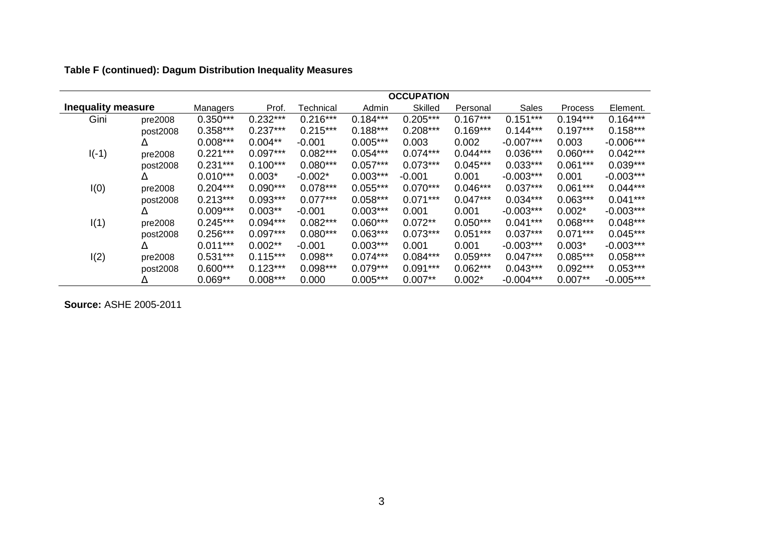| Table F (continued): Dagum Distribution Inequality Measures |  |  |  |
|-------------------------------------------------------------|--|--|--|
|-------------------------------------------------------------|--|--|--|

|                           |          | <b>OCCUPATION</b> |            |            |            |            |            |             |                |             |  |  |
|---------------------------|----------|-------------------|------------|------------|------------|------------|------------|-------------|----------------|-------------|--|--|
| <b>Inequality measure</b> |          | Managers          | Prof.      | Technical  | Admin      | Skilled    | Personal   | Sales       | <b>Process</b> | Element.    |  |  |
| Gini                      | pre2008  | $0.350***$        | $0.232***$ | $0.216***$ | $0.184***$ | $0.205***$ | $0.167***$ | $0.151***$  | $0.194***$     | $0.164***$  |  |  |
|                           | post2008 | $0.358***$        | $0.237***$ | $0.215***$ | $0.188***$ | $0.208***$ | $0.169***$ | $0.144***$  | $0.197***$     | $0.158***$  |  |  |
|                           | Δ        | $0.008***$        | $0.004**$  | $-0.001$   | $0.005***$ | 0.003      | 0.002      | $-0.007***$ | 0.003          | $-0.006***$ |  |  |
| $I(-1)$                   | pre2008  | $0.221***$        | $0.097***$ | $0.082***$ | $0.054***$ | $0.074***$ | $0.044***$ | $0.036***$  | $0.060***$     | $0.042***$  |  |  |
|                           | post2008 | $0.231***$        | $0.100***$ | $0.080***$ | $0.057***$ | $0.073***$ | $0.045***$ | $0.033***$  | $0.061***$     | $0.039***$  |  |  |
|                           | Δ        | $0.010***$        | $0.003*$   | $-0.002*$  | $0.003***$ | $-0.001$   | 0.001      | $-0.003***$ | 0.001          | $-0.003***$ |  |  |
| I(0)                      | pre2008  | $0.204***$        | $0.090***$ | $0.078***$ | $0.055***$ | $0.070***$ | $0.046***$ | $0.037***$  | $0.061***$     | $0.044***$  |  |  |
|                           | post2008 | $0.213***$        | $0.093***$ | $0.077***$ | $0.058***$ | $0.071***$ | $0.047***$ | $0.034***$  | $0.063***$     | $0.041***$  |  |  |
|                           | Δ        | $0.009***$        | $0.003**$  | $-0.001$   | $0.003***$ | 0.001      | 0.001      | $-0.003***$ | $0.002*$       | $-0.003***$ |  |  |
| I(1)                      | pre2008  | $0.245***$        | $0.094***$ | $0.082***$ | $0.060***$ | $0.072**$  | $0.050***$ | $0.041***$  | $0.068***$     | $0.048***$  |  |  |
|                           | post2008 | $0.256***$        | $0.097***$ | $0.080***$ | $0.063***$ | $0.073***$ | $0.051***$ | $0.037***$  | $0.071***$     | $0.045***$  |  |  |
|                           | Δ        | $0.011***$        | $0.002**$  | $-0.001$   | $0.003***$ | 0.001      | 0.001      | $-0.003***$ | $0.003*$       | $-0.003***$ |  |  |
| I(2)                      | pre2008  | $0.531***$        | $0.115***$ | $0.098**$  | $0.074***$ | $0.084***$ | $0.059***$ | $0.047***$  | $0.085***$     | $0.058***$  |  |  |
|                           | post2008 | $0.600***$        | $0.123***$ | $0.098***$ | $0.079***$ | $0.091***$ | $0.062***$ | $0.043***$  | $0.092***$     | $0.053***$  |  |  |
|                           | Δ        | $0.069**$         | $0.008***$ | 0.000      | $0.005***$ | $0.007**$  | $0.002*$   | $-0.004***$ | $0.007**$      | $-0.005***$ |  |  |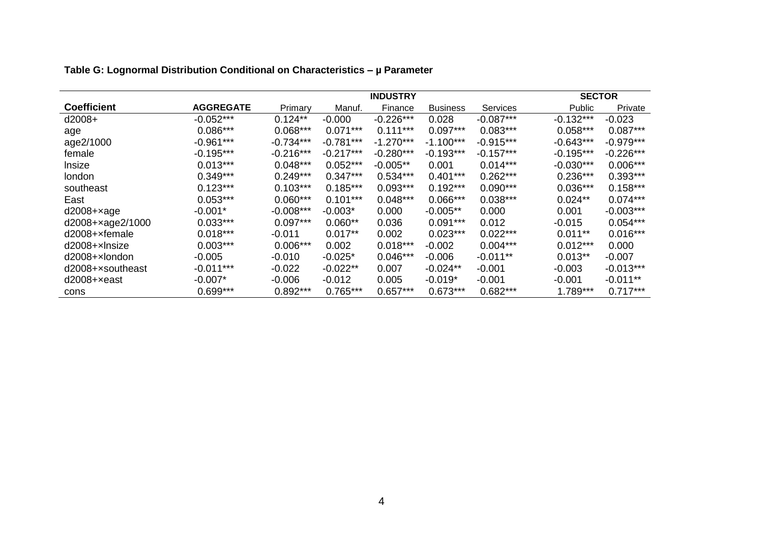|                       |                  |             |             |             | <b>SECTOR</b>   |             |               |                |
|-----------------------|------------------|-------------|-------------|-------------|-----------------|-------------|---------------|----------------|
| <b>Coefficient</b>    | <b>AGGREGATE</b> | Primary     | Manuf.      | Finance     | <b>Business</b> | Services    | <b>Public</b> | <b>Private</b> |
| $d2008+$              | $-0.052***$      | $0.124**$   | $-0.000$    | $-0.226***$ | 0.028           | $-0.087***$ | $-0.132***$   | $-0.023$       |
| age                   | $0.086***$       | $0.068***$  | $0.071***$  | $0.111***$  | $0.097***$      | $0.083***$  | $0.058***$    | $0.087***$     |
| age2/1000             | $-0.961***$      | $-0.734***$ | $-0.781***$ | $-1.270***$ | $-1.100***$     | $-0.915***$ | $-0.643***$   | $-0.979***$    |
| female                | $-0.195***$      | $-0.216***$ | $-0.217***$ | $-0.280***$ | $-0.193***$     | $-0.157***$ | $-0.195***$   | $-0.226***$    |
| Insize                | $0.013***$       | $0.048***$  | $0.052***$  | $-0.005**$  | 0.001           | $0.014***$  | $-0.030***$   | $0.006***$     |
| london                | $0.349***$       | $0.249***$  | $0.347***$  | $0.534***$  | $0.401***$      | $0.262***$  | $0.236***$    | $0.393***$     |
| southeast             | $0.123***$       | $0.103***$  | $0.185***$  | $0.093***$  | $0.192***$      | $0.090***$  | $0.036***$    | $0.158***$     |
| East                  | $0.053***$       | $0.060***$  | $0.101***$  | $0.048***$  | $0.066***$      | $0.038***$  | $0.024**$     | $0.074***$     |
| $d2008 + xage$        | $-0.001*$        | $-0.008***$ | $-0.003*$   | 0.000       | $-0.005**$      | 0.000       | 0.001         | $-0.003***$    |
| $d2008 + xage2/1000$  | $0.033***$       | $0.097***$  | $0.060**$   | 0.036       | $0.091***$      | 0.012       | $-0.015$      | $0.054***$     |
| $d2008 + x$ female    | $0.018***$       | $-0.011$    | $0.017**$   | 0.002       | $0.023***$      | $0.022***$  | $0.011**$     | $0.016***$     |
| $d2008+x$ msize       | $0.003***$       | $0.006***$  | 0.002       | $0.018***$  | $-0.002$        | $0.004***$  | $0.012***$    | 0.000          |
| $d2008+x$ london      | $-0.005$         | $-0.010$    | $-0.025*$   | $0.046***$  | $-0.006$        | $-0.011**$  | $0.013**$     | $-0.007$       |
| d2008+xsoutheast      | $-0.011***$      | $-0.022$    | $-0.022**$  | 0.007       | $-0.024**$      | $-0.001$    | -0.003        | $-0.013***$    |
| $d2008 + \times east$ | $-0.007*$        | -0.006      | $-0.012$    | 0.005       | $-0.019*$       | $-0.001$    | -0.001        | $-0.011**$     |
| cons                  | $0.699***$       | $0.892***$  | $0.765***$  | $0.657***$  | $0.673***$      | $0.682***$  | $1.789***$    | $0.717***$     |

**Table G: Lognormal Distribution Conditional on Characteristics – µ Parameter**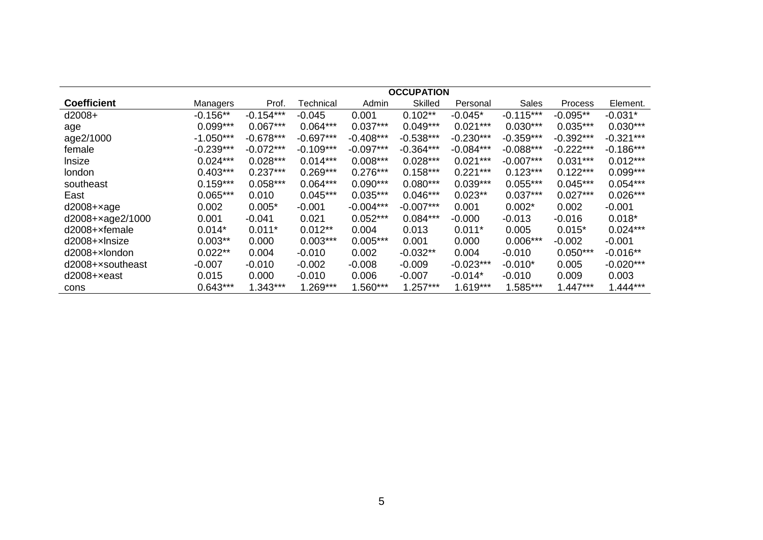|                    | <b>OCCUPATION</b> |             |             |             |                |             |             |             |             |  |  |  |
|--------------------|-------------------|-------------|-------------|-------------|----------------|-------------|-------------|-------------|-------------|--|--|--|
| <b>Coefficient</b> | Managers          | Prof.       | Technical   | Admin       | <b>Skilled</b> | Personal    | Sales       | Process     | Element.    |  |  |  |
| $d2008+$           | $-0.156**$        | $-0.154***$ | $-0.045$    | 0.001       | $0.102**$      | $-0.045*$   | $-0.115***$ | $-0.095**$  | $-0.031*$   |  |  |  |
| age                | $0.099***$        | $0.067***$  | $0.064***$  | $0.037***$  | $0.049***$     | $0.021***$  | $0.030***$  | $0.035***$  | $0.030***$  |  |  |  |
| age2/1000          | $-1.050***$       | $-0.678***$ | $-0.697***$ | $-0.408***$ | $-0.538***$    | $-0.230***$ | $-0.359***$ | $-0.392***$ | $-0.321***$ |  |  |  |
| female             | $-0.239***$       | $-0.072***$ | $-0.109***$ | $-0.097***$ | $-0.364***$    | $-0.084***$ | $-0.088***$ | $-0.222***$ | $-0.186***$ |  |  |  |
| Insize             | $0.024***$        | $0.028***$  | $0.014***$  | $0.008***$  | $0.028***$     | $0.021***$  | $-0.007***$ | $0.031***$  | $0.012***$  |  |  |  |
| london             | $0.403***$        | $0.237***$  | $0.269***$  | $0.276***$  | $0.158***$     | $0.221***$  | $0.123***$  | $0.122***$  | $0.099***$  |  |  |  |
| southeast          | $0.159***$        | $0.058***$  | $0.064***$  | $0.090***$  | $0.080***$     | $0.039***$  | $0.055***$  | $0.045***$  | $0.054***$  |  |  |  |
| East               | $0.065***$        | 0.010       | $0.045***$  | $0.035***$  | $0.046***$     | $0.023**$   | $0.037***$  | $0.027***$  | $0.026***$  |  |  |  |
| $d2008 + xage$     | 0.002             | $0.005*$    | $-0.001$    | $-0.004***$ | $-0.007***$    | 0.001       | $0.002*$    | 0.002       | $-0.001$    |  |  |  |
| d2008+xage2/1000   | 0.001             | $-0.041$    | 0.021       | $0.052***$  | $0.084***$     | $-0.000$    | $-0.013$    | $-0.016$    | $0.018*$    |  |  |  |
| d2008+xfemale      | $0.014*$          | $0.011*$    | $0.012**$   | 0.004       | 0.013          | $0.011*$    | 0.005       | $0.015*$    | $0.024***$  |  |  |  |
| d2008+xlnsize      | $0.003**$         | 0.000       | $0.003***$  | $0.005***$  | 0.001          | 0.000       | $0.006***$  | $-0.002$    | $-0.001$    |  |  |  |
| $d2008+x$ london   | $0.022**$         | 0.004       | $-0.010$    | 0.002       | $-0.032**$     | 0.004       | $-0.010$    | $0.050***$  | $-0.016**$  |  |  |  |
| d2008+xsoutheast   | $-0.007$          | $-0.010$    | $-0.002$    | $-0.008$    | $-0.009$       | $-0.023***$ | $-0.010*$   | 0.005       | $-0.020***$ |  |  |  |
| $d2008 + x$ east   | 0.015             | 0.000       | $-0.010$    | 0.006       | $-0.007$       | $-0.014*$   | $-0.010$    | 0.009       | 0.003       |  |  |  |
| cons               | $0.643***$        | $1.343***$  | $1.269***$  | $1.560***$  | $1.257***$     | $1.619***$  | 1.585***    | $1.447***$  | $1.444***$  |  |  |  |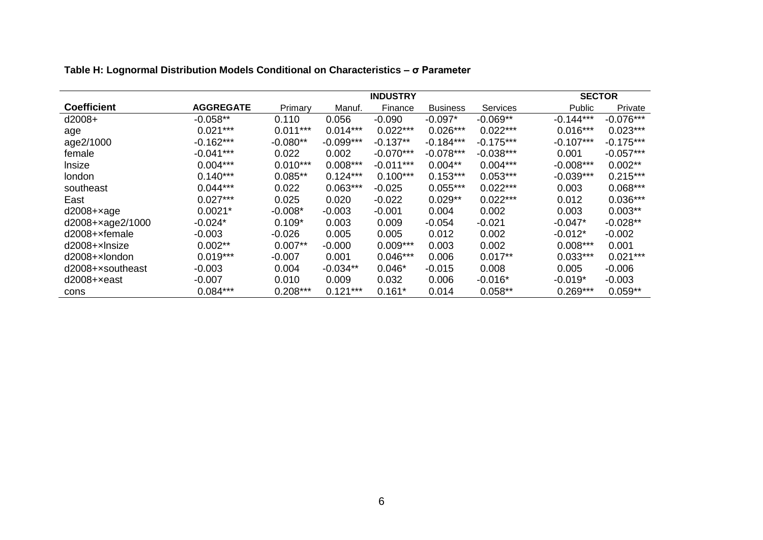|                    |                  |            |             |             | <b>SECTOR</b>   |             |               |             |
|--------------------|------------------|------------|-------------|-------------|-----------------|-------------|---------------|-------------|
| <b>Coefficient</b> | <b>AGGREGATE</b> | Primary    | Manuf.      | Finance     | <b>Business</b> | Services    | <b>Public</b> | Private     |
| $d2008+$           | $-0.058**$       | 0.110      | 0.056       | $-0.090$    | $-0.097*$       | $-0.069**$  | $-0.144***$   | $-0.076***$ |
| age                | $0.021***$       | $0.011***$ | $0.014***$  | $0.022***$  | $0.026***$      | $0.022***$  | $0.016***$    | $0.023***$  |
| age2/1000          | $-0.162***$      | $-0.080**$ | $-0.099***$ | $-0.137**$  | $-0.184***$     | $-0.175***$ | $-0.107***$   | $-0.175***$ |
| female             | $-0.041***$      | 0.022      | 0.002       | $-0.070***$ | $-0.078***$     | $-0.038***$ | 0.001         | $-0.057***$ |
| Insize             | $0.004***$       | $0.010***$ | $0.008***$  | $-0.011***$ | $0.004**$       | $0.004***$  | $-0.008***$   | $0.002**$   |
| london             | $0.140***$       | $0.085**$  | $0.124***$  | $0.100***$  | $0.153***$      | $0.053***$  | $-0.039***$   | $0.215***$  |
| southeast          | $0.044***$       | 0.022      | $0.063***$  | $-0.025$    | $0.055***$      | $0.022***$  | 0.003         | $0.068***$  |
| East               | $0.027***$       | 0.025      | 0.020       | $-0.022$    | $0.029**$       | $0.022***$  | 0.012         | $0.036***$  |
| $d2008 + xage$     | $0.0021*$        | $-0.008*$  | $-0.003$    | $-0.001$    | 0.004           | 0.002       | 0.003         | $0.003**$   |
| d2008+xage2/1000   | $-0.024*$        | $0.109*$   | 0.003       | 0.009       | $-0.054$        | $-0.021$    | $-0.047*$     | $-0.028**$  |
| $d2008+x$ female   | $-0.003$         | $-0.026$   | 0.005       | 0.005       | 0.012           | 0.002       | $-0.012*$     | $-0.002$    |
| $d2008+x$ Insize   | $0.002**$        | $0.007**$  | $-0.000$    | $0.009***$  | 0.003           | 0.002       | $0.008***$    | 0.001       |
| $d2008+x$ london   | $0.019***$       | $-0.007$   | 0.001       | $0.046***$  | 0.006           | $0.017**$   | $0.033***$    | $0.021***$  |
| d2008+xsoutheast   | $-0.003$         | 0.004      | $-0.034**$  | $0.046*$    | $-0.015$        | 0.008       | 0.005         | $-0.006$    |
| $d2008 + x$ east   | $-0.007$         | 0.010      | 0.009       | 0.032       | 0.006           | $-0.016*$   | $-0.019*$     | $-0.003$    |
| cons               | $0.084***$       | $0.208***$ | $0.121***$  | $0.161*$    | 0.014           | $0.058**$   | $0.269***$    | $0.059**$   |

## **Table H: Lognormal Distribution Models Conditional on Characteristics – σ Parameter**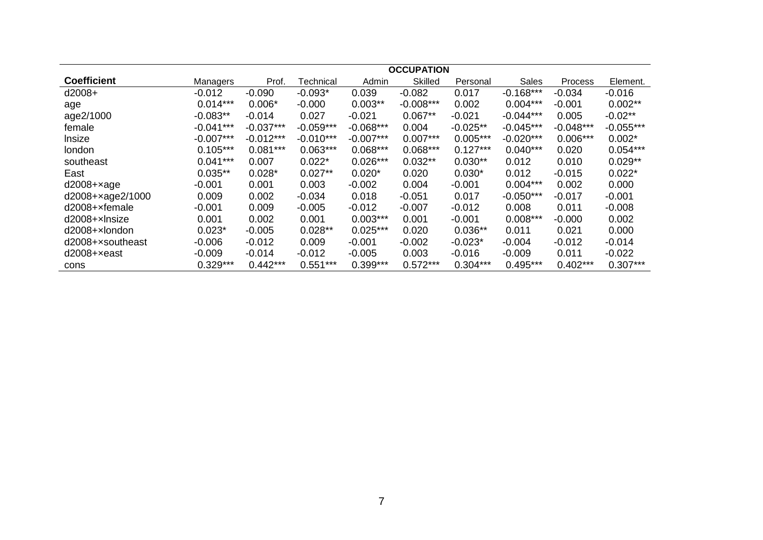|                    |             |             |             |             | <b>OCCUPATION</b> |            |             |             |             |
|--------------------|-------------|-------------|-------------|-------------|-------------------|------------|-------------|-------------|-------------|
| <b>Coefficient</b> | Managers    | Prof.       | Technical   | Admin       | <b>Skilled</b>    | Personal   | Sales       | Process     | Element.    |
| $d2008+$           | $-0.012$    | $-0.090$    | $-0.093*$   | 0.039       | $-0.082$          | 0.017      | $-0.168***$ | $-0.034$    | $-0.016$    |
| age                | $0.014***$  | $0.006*$    | $-0.000$    | $0.003**$   | $-0.008***$       | 0.002      | $0.004***$  | $-0.001$    | $0.002**$   |
| age2/1000          | $-0.083**$  | $-0.014$    | 0.027       | $-0.021$    | $0.067**$         | $-0.021$   | $-0.044***$ | 0.005       | $-0.02**$   |
| female             | $-0.041***$ | $-0.037***$ | $-0.059***$ | $-0.068***$ | 0.004             | $-0.025**$ | $-0.045***$ | $-0.048***$ | $-0.055***$ |
| Insize             | $-0.007***$ | $-0.012***$ | $-0.010***$ | $-0.007***$ | $0.007***$        | $0.005***$ | $-0.020***$ | $0.006***$  | $0.002*$    |
| london             | $0.105***$  | $0.081***$  | $0.063***$  | $0.068***$  | $0.068***$        | $0.127***$ | $0.040***$  | 0.020       | $0.054***$  |
| southeast          | $0.041***$  | 0.007       | $0.022*$    | $0.026***$  | $0.032**$         | $0.030**$  | 0.012       | 0.010       | $0.029**$   |
| East               | $0.035**$   | $0.028*$    | $0.027**$   | $0.020*$    | 0.020             | $0.030*$   | 0.012       | $-0.015$    | $0.022*$    |
| $d2008 + xage$     | $-0.001$    | 0.001       | 0.003       | $-0.002$    | 0.004             | $-0.001$   | $0.004***$  | 0.002       | 0.000       |
| d2008+xage2/1000   | 0.009       | 0.002       | $-0.034$    | 0.018       | $-0.051$          | 0.017      | $-0.050***$ | $-0.017$    | $-0.001$    |
| d2008+xfemale      | $-0.001$    | 0.009       | $-0.005$    | $-0.012$    | $-0.007$          | $-0.012$   | 0.008       | 0.011       | $-0.008$    |
| d2008+xlnsize      | 0.001       | 0.002       | 0.001       | $0.003***$  | 0.001             | $-0.001$   | $0.008***$  | $-0.000$    | 0.002       |
| $d2008+x$ london   | $0.023*$    | $-0.005$    | $0.028**$   | $0.025***$  | 0.020             | $0.036**$  | 0.011       | 0.021       | 0.000       |
| d2008+xsoutheast   | $-0.006$    | $-0.012$    | 0.009       | $-0.001$    | $-0.002$          | $-0.023*$  | $-0.004$    | $-0.012$    | $-0.014$    |
| $d2008 + x$ east   | $-0.009$    | $-0.014$    | $-0.012$    | $-0.005$    | 0.003             | $-0.016$   | $-0.009$    | 0.011       | $-0.022$    |
| cons               | $0.329***$  | $0.442***$  | $0.551***$  | 0.399***    | $0.572***$        | $0.304***$ | $0.495***$  | $0.402***$  | $0.307***$  |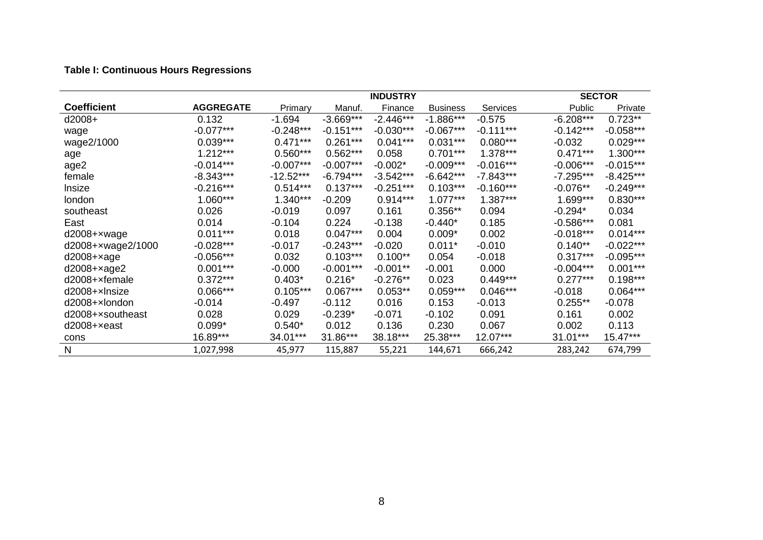# **Table I: Continuous Hours Regressions**

|                       |                  |             |             |             |                 | <b>SECTOR</b>   |             |             |
|-----------------------|------------------|-------------|-------------|-------------|-----------------|-----------------|-------------|-------------|
| <b>Coefficient</b>    | <b>AGGREGATE</b> | Primary     | Manuf.      | Finance     | <b>Business</b> | <b>Services</b> | Public      | Private     |
| $d2008+$              | 0.132            | $-1.694$    | $-3.669***$ | $-2.446***$ | $-1.886***$     | $-0.575$        | $-6.208***$ | $0.723**$   |
| wage                  | $-0.077***$      | $-0.248***$ | $-0.151***$ | $-0.030***$ | $-0.067***$     | $-0.111***$     | $-0.142***$ | $-0.058***$ |
| wage2/1000            | $0.039***$       | $0.471***$  | $0.261***$  | $0.041***$  | $0.031***$      | $0.080***$      | $-0.032$    | $0.029***$  |
| age                   | $1.212***$       | $0.560***$  | $0.562***$  | 0.058       | $0.701***$      | $1.378***$      | $0.471***$  | $1.300***$  |
| age2                  | $-0.014***$      | $-0.007***$ | $-0.007***$ | $-0.002*$   | $-0.009***$     | $-0.016***$     | $-0.006***$ | $-0.015***$ |
| female                | $-8.343***$      | $-12.52***$ | $-6.794***$ | $-3.542***$ | $-6.642***$     | $-7.843***$     | $-7.295***$ | $-8.425***$ |
| Insize                | $-0.216***$      | $0.514***$  | $0.137***$  | $-0.251***$ | $0.103***$      | $-0.160***$     | $-0.076**$  | $-0.249***$ |
| london                | 1.060***         | $1.340***$  | $-0.209$    | $0.914***$  | $1.077***$      | $1.387***$      | $1.699***$  | $0.830***$  |
| southeast             | 0.026            | $-0.019$    | 0.097       | 0.161       | $0.356**$       | 0.094           | $-0.294*$   | 0.034       |
| East                  | 0.014            | $-0.104$    | 0.224       | $-0.138$    | $-0.440*$       | 0.185           | $-0.586***$ | 0.081       |
| d2008+xwage           | $0.011***$       | 0.018       | $0.047***$  | 0.004       | $0.009*$        | 0.002           | $-0.018***$ | $0.014***$  |
| d2008+xwage2/1000     | $-0.028***$      | $-0.017$    | $-0.243***$ | $-0.020$    | $0.011*$        | $-0.010$        | $0.140**$   | $-0.022***$ |
| $d2008 + xage$        | $-0.056***$      | 0.032       | $0.103***$  | $0.100**$   | 0.054           | $-0.018$        | $0.317***$  | $-0.095***$ |
| $d2008+xage2$         | $0.001***$       | $-0.000$    | $-0.001***$ | $-0.001**$  | $-0.001$        | 0.000           | $-0.004***$ | $0.001***$  |
| d2008+xfemale         | $0.372***$       | $0.403*$    | $0.216*$    | $-0.276**$  | 0.023           | $0.449***$      | $0.277***$  | $0.198***$  |
| $d2008+x$ Insize      | $0.066***$       | $0.105***$  | $0.067***$  | $0.053**$   | $0.059***$      | $0.046***$      | $-0.018$    | $0.064***$  |
| $d2008+x$ london      | $-0.014$         | $-0.497$    | $-0.112$    | 0.016       | 0.153           | $-0.013$        | $0.255**$   | $-0.078$    |
| d2008+xsoutheast      | 0.028            | 0.029       | $-0.239*$   | $-0.071$    | $-0.102$        | 0.091           | 0.161       | 0.002       |
| $d2008 + \times east$ | $0.099*$         | $0.540*$    | 0.012       | 0.136       | 0.230           | 0.067           | 0.002       | 0.113       |
| cons                  | 16.89***         | 34.01***    | 31.86***    | 38.18***    | 25.38***        | 12.07***        | 31.01***    | 15.47***    |
| N                     | 1,027,998        | 45,977      | 115,887     | 55,221      | 144,671         | 666,242         | 283,242     | 674,799     |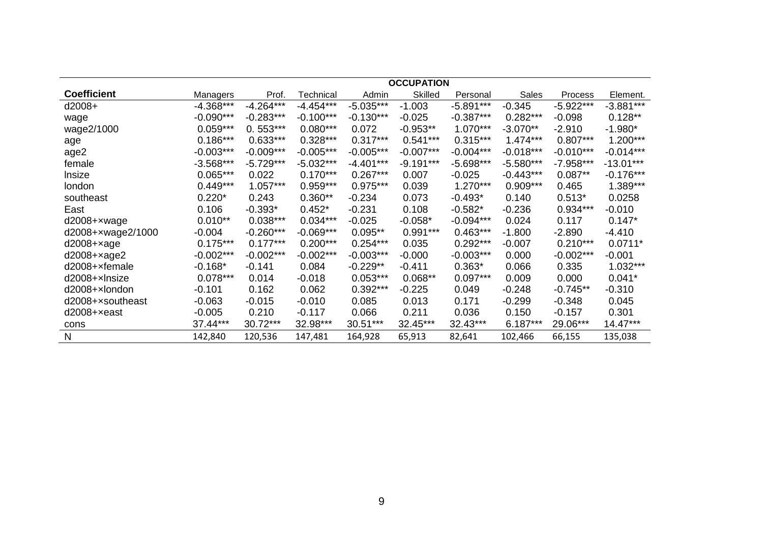|                    |             |             |             |             | <b>OCCUPATION</b> |             |              |             |             |
|--------------------|-------------|-------------|-------------|-------------|-------------------|-------------|--------------|-------------|-------------|
| <b>Coefficient</b> | Managers    | Prof.       | Technical   | Admin       | <b>Skilled</b>    | Personal    | <b>Sales</b> | Process     | Element.    |
| d2008+             | $-4.368***$ | $-4.264***$ | $-4.454***$ | $-5.035***$ | $-1.003$          | $-5.891***$ | $-0.345$     | $-5.922***$ | $-3.881***$ |
| wage               | $-0.090***$ | $-0.283***$ | $-0.100***$ | $-0.130***$ | $-0.025$          | $-0.387***$ | $0.282***$   | $-0.098$    | $0.128**$   |
| wage2/1000         | $0.059***$  | $0.553***$  | $0.080***$  | 0.072       | $-0.953**$        | $1.070***$  | $-3.070**$   | $-2.910$    | $-1.980*$   |
| age                | $0.186***$  | $0.633***$  | $0.328***$  | $0.317***$  | $0.541***$        | $0.315***$  | $1.474***$   | $0.807***$  | $1.200***$  |
| age2               | $-0.003***$ | $-0.009***$ | $-0.005***$ | $-0.005***$ | $-0.007***$       | $-0.004***$ | $-0.018***$  | $-0.010***$ | $-0.014***$ |
| female             | $-3.568***$ | $-5.729***$ | $-5.032***$ | $-4.401***$ | $-9.191***$       | $-5.698***$ | $-5.580***$  | $-7.958***$ | $-13.01***$ |
| Insize             | $0.065***$  | 0.022       | $0.170***$  | $0.267***$  | 0.007             | $-0.025$    | $-0.443***$  | $0.087**$   | $-0.176***$ |
| london             | $0.449***$  | $1.057***$  | $0.959***$  | $0.975***$  | 0.039             | $1.270***$  | $0.909***$   | 0.465       | 1.389***    |
| southeast          | $0.220*$    | 0.243       | $0.360**$   | $-0.234$    | 0.073             | $-0.493*$   | 0.140        | $0.513*$    | 0.0258      |
| East               | 0.106       | $-0.393*$   | $0.452*$    | $-0.231$    | 0.108             | $-0.582*$   | $-0.236$     | 0.934***    | $-0.010$    |
| d2008+xwage        | $0.010**$   | $0.038***$  | $0.034***$  | $-0.025$    | $-0.058*$         | $-0.094***$ | 0.024        | 0.117       | $0.147*$    |
| d2008+xwage2/1000  | $-0.004$    | $-0.260***$ | $-0.069***$ | $0.095**$   | $0.991***$        | $0.463***$  | $-1.800$     | $-2.890$    | $-4.410$    |
| $d2008 + xage$     | $0.175***$  | $0.177***$  | $0.200***$  | $0.254***$  | 0.035             | $0.292***$  | $-0.007$     | $0.210***$  | $0.0711*$   |
| $d2008 + xage2$    | $-0.002***$ | $-0.002***$ | $-0.002***$ | $-0.003***$ | $-0.000$          | $-0.003***$ | 0.000        | $-0.002***$ | $-0.001$    |
| d2008+xfemale      | $-0.168*$   | $-0.141$    | 0.084       | $-0.229**$  | $-0.411$          | $0.363*$    | 0.066        | 0.335       | $1.032***$  |
| d2008+xlnsize      | $0.078***$  | 0.014       | $-0.018$    | $0.053***$  | $0.068**$         | $0.097***$  | 0.009        | 0.000       | $0.041*$    |
| d2008+xlondon      | $-0.101$    | 0.162       | 0.062       | $0.392***$  | $-0.225$          | 0.049       | $-0.248$     | $-0.745**$  | $-0.310$    |
| d2008+xsoutheast   | $-0.063$    | $-0.015$    | $-0.010$    | 0.085       | 0.013             | 0.171       | $-0.299$     | $-0.348$    | 0.045       |
| $d2008 + x$ east   | $-0.005$    | 0.210       | $-0.117$    | 0.066       | 0.211             | 0.036       | 0.150        | $-0.157$    | 0.301       |
| cons               | 37.44***    | 30.72***    | 32.98***    | 30.51***    | 32.45***          | 32.43***    | $6.187***$   | 29.06***    | $14.47***$  |
| $\mathsf{N}$       | 142,840     | 120,536     | 147,481     | 164,928     | 65,913            | 82,641      | 102,466      | 66,155      | 135,038     |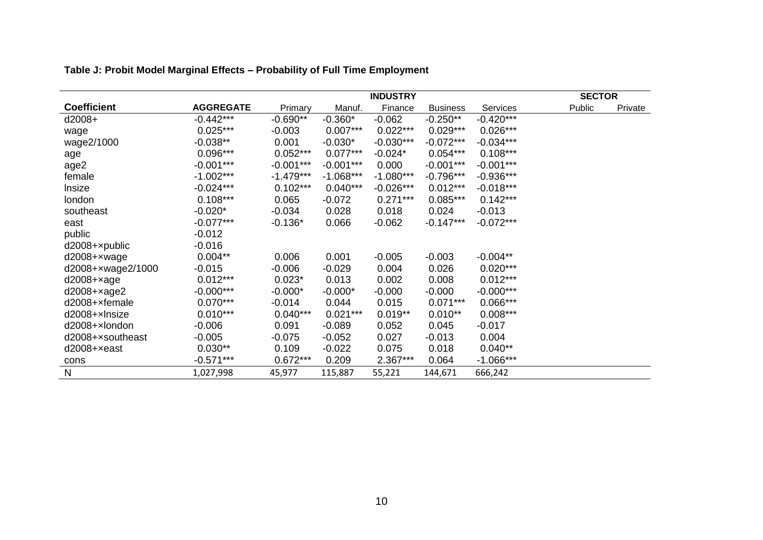|                    |                  |             |             |             | <b>SECTOR</b>   |             |        |         |
|--------------------|------------------|-------------|-------------|-------------|-----------------|-------------|--------|---------|
| <b>Coefficient</b> | <b>AGGREGATE</b> | Primary     | Manuf.      | Finance     | <b>Business</b> | Services    | Public | Private |
| d2008+             | $-0.442***$      | $-0.690**$  | $-0.360*$   | $-0.062$    | $-0.250**$      | $-0.420***$ |        |         |
| wage               | $0.025***$       | $-0.003$    | $0.007***$  | $0.022***$  | $0.029***$      | $0.026***$  |        |         |
| wage2/1000         | $-0.038**$       | 0.001       | $-0.030*$   | $-0.030***$ | $-0.072***$     | $-0.034***$ |        |         |
| age                | $0.096***$       | $0.052***$  | $0.077***$  | $-0.024*$   | $0.054***$      | $0.108***$  |        |         |
| age2               | $-0.001***$      | $-0.001***$ | $-0.001***$ | 0.000       | $-0.001***$     | $-0.001***$ |        |         |
| female             | $-1.002***$      | $-1.479***$ | $-1.068***$ | $-1.080***$ | $-0.796***$     | $-0.936***$ |        |         |
| Insize             | $-0.024***$      | $0.102***$  | $0.040***$  | $-0.026***$ | $0.012***$      | $-0.018***$ |        |         |
| london             | $0.108***$       | 0.065       | $-0.072$    | $0.271***$  | $0.085***$      | $0.142***$  |        |         |
| southeast          | $-0.020*$        | $-0.034$    | 0.028       | 0.018       | 0.024           | $-0.013$    |        |         |
| east               | $-0.077***$      | $-0.136*$   | 0.066       | $-0.062$    | $-0.147***$     | $-0.072***$ |        |         |
| public             | $-0.012$         |             |             |             |                 |             |        |         |
| d2008+xpublic      | $-0.016$         |             |             |             |                 |             |        |         |
| d2008+xwage        | $0.004**$        | 0.006       | 0.001       | $-0.005$    | $-0.003$        | $-0.004**$  |        |         |
| d2008+xwage2/1000  | $-0.015$         | $-0.006$    | $-0.029$    | 0.004       | 0.026           | $0.020***$  |        |         |
| $d2008 + xage$     | $0.012***$       | $0.023*$    | 0.013       | 0.002       | 0.008           | $0.012***$  |        |         |
| d2008+xage2        | $-0.000***$      | $-0.000*$   | $-0.000*$   | $-0.000$    | $-0.000$        | $-0.000***$ |        |         |
| d2008+xfemale      | $0.070***$       | $-0.014$    | 0.044       | 0.015       | $0.071***$      | $0.066***$  |        |         |
| d2008+xlnsize      | $0.010***$       | $0.040***$  | $0.021***$  | $0.019**$   | $0.010**$       | $0.008***$  |        |         |
| d2008+xlondon      | $-0.006$         | 0.091       | $-0.089$    | 0.052       | 0.045           | $-0.017$    |        |         |
| d2008+xsoutheast   | $-0.005$         | $-0.075$    | $-0.052$    | 0.027       | $-0.013$        | 0.004       |        |         |
| $d2008 + x$ east   | $0.030**$        | 0.109       | $-0.022$    | 0.075       | 0.018           | $0.040**$   |        |         |
| cons               | $-0.571***$      | $0.672***$  | 0.209       | 2.367***    | 0.064           | $-1.066***$ |        |         |
| $\mathsf{N}$       | 1,027,998        | 45,977      | 115,887     | 55,221      | 144,671         | 666,242     |        |         |

# **Table J: Probit Model Marginal Effects – Probability of Full Time Employment**